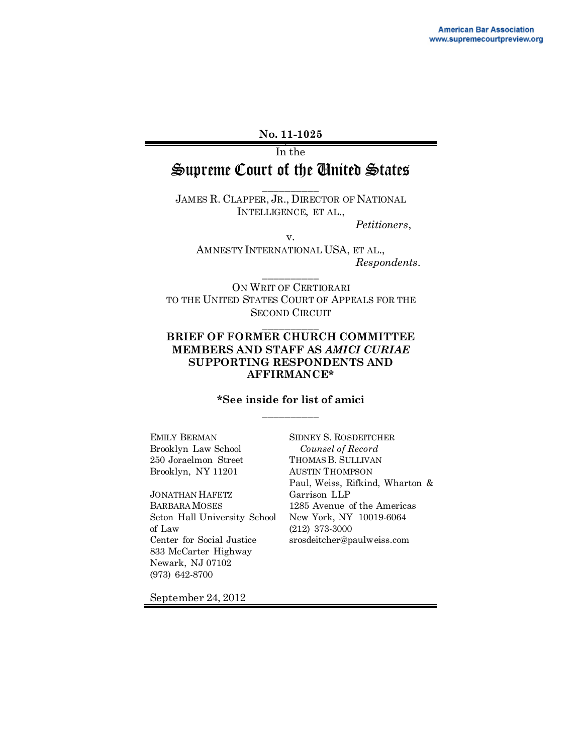#### **No. 11-1025**

In the

# Supreme Court of the United States \_\_\_\_\_\_\_\_\_\_

JAMES R. CLAPPER, JR., DIRECTOR OF NATIONAL INTELLIGENCE, ET AL.,

*Petitioners*,

v.

AMNESTY INTERNATIONAL USA, ET AL., *Respondents*.

ON WRIT OF CERTIORARI TO THE UNITED STATES COURT OF APPEALS FOR THE SECOND CIRCUIT

\_\_\_\_\_\_\_\_\_\_

\_\_\_\_\_\_\_\_\_\_

#### **BRIEF OF FORMER CHURCH COMMITTEE MEMBERS AND STAFF AS** *AMICI CURIAE*  **SUPPORTING RESPONDENTS AND AFFIRMANCE\***

#### **\*See inside for list of amici** \_\_\_\_\_\_\_\_\_\_

EMILY BERMAN Brooklyn Law School 250 Joraelmon Street Brooklyn, NY 11201

JONATHAN HAFETZ BARBARA MOSES Seton Hall University School of Law Center for Social Justice 833 McCarter Highway Newark, NJ 07102 (973) 642-8700

SIDNEY S. ROSDEITCHER  *Counsel of Record* THOMAS B. SULLIVAN AUSTIN THOMPSON Paul, Weiss, Rifkind, Wharton & Garrison LLP 1285 Avenue of the Americas New York, NY 10019-6064 (212) 373-3000 srosdeitcher@paulweiss.com

September 24, 2012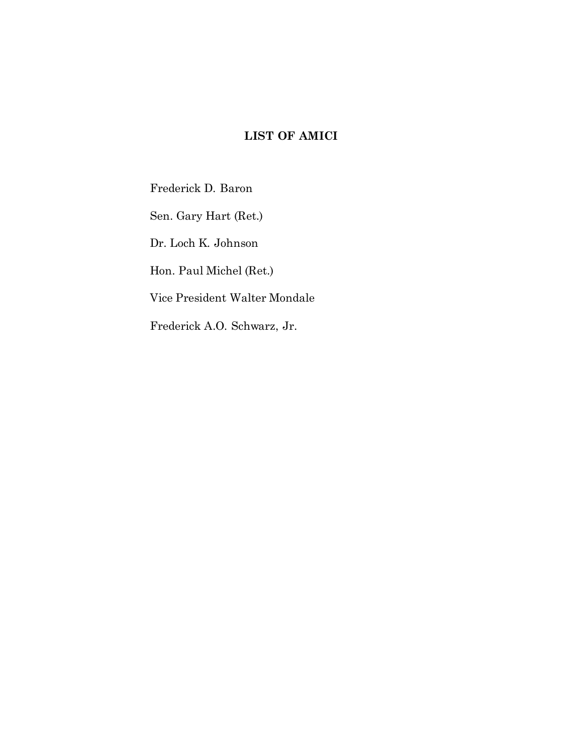## **LIST OF AMICI**

Frederick D. Baron

Sen. Gary Hart (Ret.)

Dr. Loch K. Johnson

Hon. Paul Michel (Ret.)

Vice President Walter Mondale

Frederick A.O. Schwarz, Jr.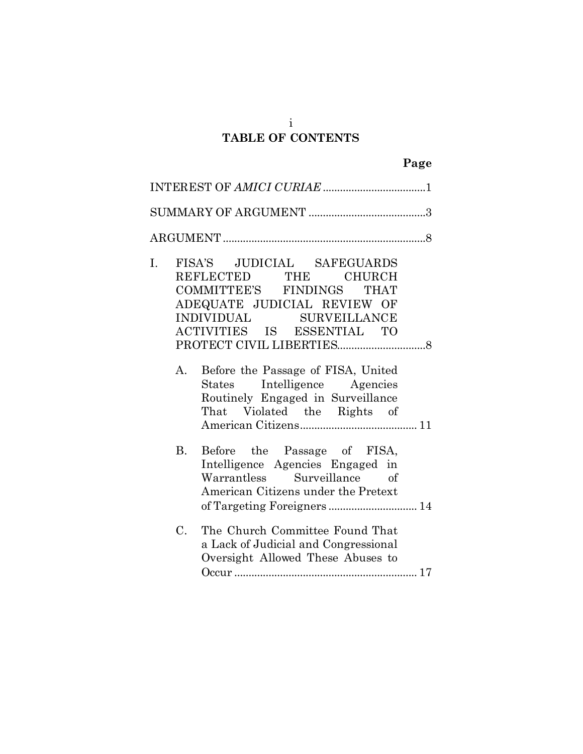### i **TABLE OF CONTENTS**

| FISA'S JUDICIAL SAFEGUARDS<br>I.<br>REFLECTED THE CHURCH<br>COMMITTEE'S FINDINGS THAT<br>ADEQUATE JUDICIAL REVIEW OF<br>INDIVIDUAL SURVEILLANCE<br>ACTIVITIES IS ESSENTIAL TO      |
|------------------------------------------------------------------------------------------------------------------------------------------------------------------------------------|
| Before the Passage of FISA, United<br>A.<br>States Intelligence Agencies<br>Routinely Engaged in Surveillance<br>That Violated the Rights of                                       |
| Before the Passage of FISA,<br>$B_{\cdot}$<br>Intelligence Agencies Engaged in<br>Warrantless Surveillance of<br>American Citizens under the Pretext<br>of Targeting Foreigners 14 |
| $C_{\cdot}$<br>The Church Committee Found That<br>a Lack of Judicial and Congressional<br>Oversight Allowed These Abuses to                                                        |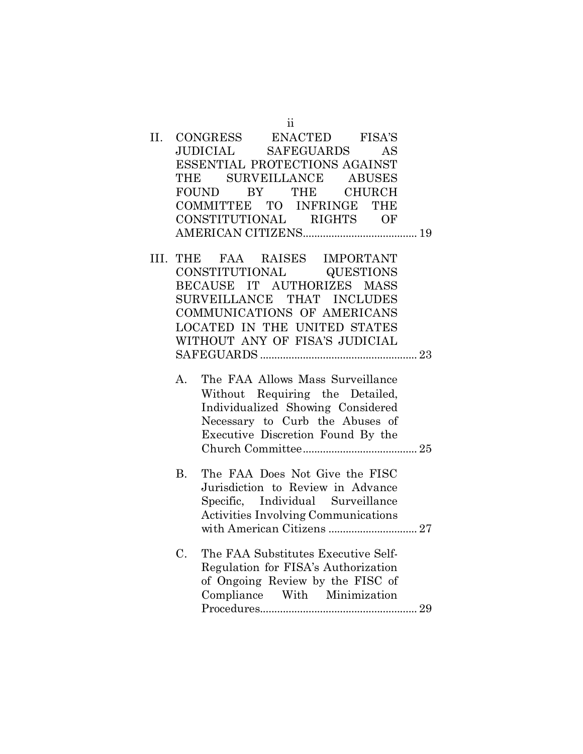|  |           | 11                                         |
|--|-----------|--------------------------------------------|
|  |           | II. CONGRESS ENACTED FISA'S                |
|  |           | JUDICIAL SAFEGUARDS AS                     |
|  |           | ESSENTIAL PROTECTIONS AGAINST              |
|  |           | THE SURVEILLANCE ABUSES                    |
|  |           | FOUND BY THE CHURCH                        |
|  |           | COMMITTEE TO INFRINGE THE                  |
|  |           | CONSTITUTIONAL RIGHTS OF                   |
|  |           |                                            |
|  |           | III. THE FAA RAISES IMPORTANT              |
|  |           | CONSTITUTIONAL QUESTIONS                   |
|  |           | BECAUSE IT AUTHORIZES MASS                 |
|  |           |                                            |
|  |           | SURVEILLANCE THAT INCLUDES                 |
|  |           | COMMUNICATIONS OF AMERICANS                |
|  |           | LOCATED IN THE UNITED STATES               |
|  |           | WITHOUT ANY OF FISA'S JUDICIAL             |
|  |           |                                            |
|  | А.        | The FAA Allows Mass Surveillance           |
|  |           | Without Requiring the Detailed,            |
|  |           | Individualized Showing Considered          |
|  |           | Necessary to Curb the Abuses of            |
|  |           | Executive Discretion Found By the          |
|  |           |                                            |
|  |           |                                            |
|  | <b>B.</b> | The FAA Does Not Give the FISC             |
|  |           | Jurisdiction to Review in Advance          |
|  |           | Specific, Individual Surveillance          |
|  |           | <b>Activities Involving Communications</b> |
|  |           | with American Citizens  27                 |

C. [The FAA Substitutes Executive Self-](#page-36-0)[Regulation for FISA's Authorization](#page-36-0)  [of Ongoing Review by the FISC of](#page-36-0)  [Compliance With Minimization](#page-36-0)  [Procedures.......................................................](#page-36-0) 29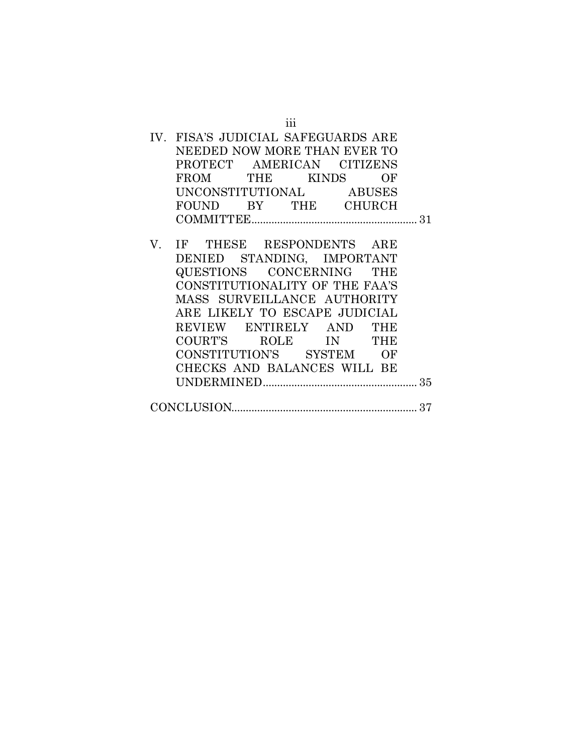|    | IV. FISA'S JUDICIAL SAFEGUARDS ARE<br>NEEDED NOW MORE THAN EVER TO |  |
|----|--------------------------------------------------------------------|--|
|    | PROTECT AMERICAN CITIZENS                                          |  |
|    | FROM THE KINDS OF                                                  |  |
|    | UNCONSTITUTIONAL ABUSES                                            |  |
|    | FOUND BY THE CHURCH                                                |  |
|    |                                                                    |  |
|    |                                                                    |  |
| V. | IF THESE RESPONDENTS ARE                                           |  |
|    | DENIED STANDING, IMPORTANT                                         |  |
|    | QUESTIONS CONCERNING THE                                           |  |
|    | CONSTITUTIONALITY OF THE FAA'S                                     |  |
|    | MASS SURVEILLANCE AUTHORITY                                        |  |
|    | ARE LIKELY TO ESCAPE JUDICIAL                                      |  |
|    | REVIEW ENTIRELY AND THE                                            |  |
|    | COURT'S ROLE IN THE                                                |  |
|    | CONSTITUTION'S SYSTEM OF                                           |  |
|    | CHECKS AND BALANCES WILL BE                                        |  |
|    |                                                                    |  |
|    |                                                                    |  |
|    |                                                                    |  |
|    |                                                                    |  |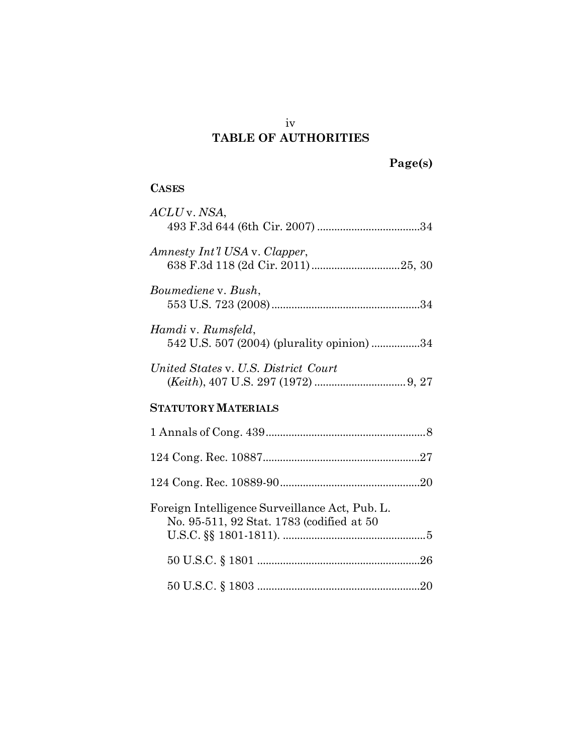## iv **TABLE OF AUTHORITIES**

## **CASES**

| ACLU v. NSA,                                                                                |
|---------------------------------------------------------------------------------------------|
| Amnesty Int'l USA v. Clapper,                                                               |
| Boumediene v. Bush,                                                                         |
| Hamdi v. Rumsfeld,<br>542 U.S. 507 (2004) (plurality opinion) 34                            |
| United States v. U.S. District Court                                                        |
| <b>STATUTORY MATERIALS</b>                                                                  |
|                                                                                             |
|                                                                                             |
|                                                                                             |
| Foreign Intelligence Surveillance Act, Pub. L.<br>No. 95-511, 92 Stat. 1783 (codified at 50 |
|                                                                                             |
|                                                                                             |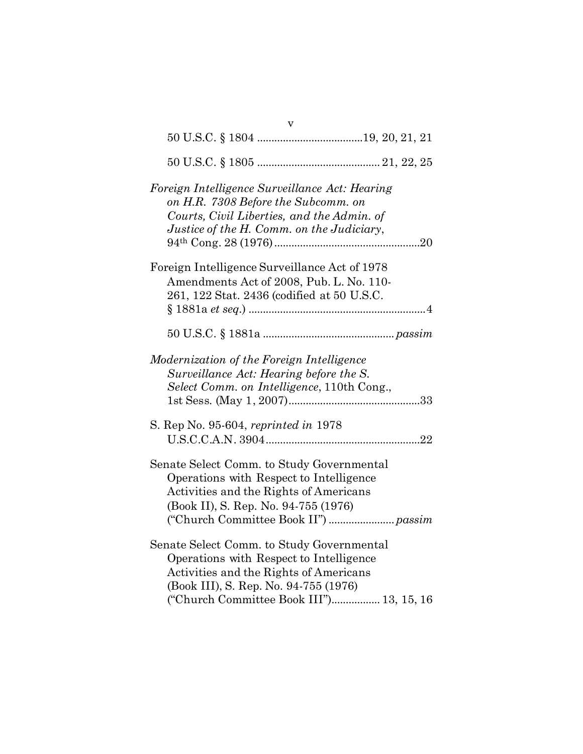| Foreign Intelligence Surveillance Act: Hearing<br>on H.R. 7308 Before the Subcomm. on<br>Courts, Civil Liberties, and the Admin. of<br>Justice of the H. Comm. on the Judiciary,                                    |
|---------------------------------------------------------------------------------------------------------------------------------------------------------------------------------------------------------------------|
| Foreign Intelligence Surveillance Act of 1978<br>Amendments Act of 2008, Pub. L. No. 110-<br>261, 122 Stat. 2436 (codified at 50 U.S.C.                                                                             |
|                                                                                                                                                                                                                     |
| Modernization of the Foreign Intelligence<br>Surveillance Act: Hearing before the S.<br>Select Comm. on Intelligence, 110th Cong.,                                                                                  |
| S. Rep No. 95-604, reprinted in 1978                                                                                                                                                                                |
| Senate Select Comm. to Study Governmental<br>Operations with Respect to Intelligence<br>Activities and the Rights of Americans<br>(Book II), S. Rep. No. 94-755 (1976)                                              |
| Senate Select Comm. to Study Governmental<br>Operations with Respect to Intelligence<br>Activities and the Rights of Americans<br>(Book III), S. Rep. No. 94-755 (1976)<br>("Church Committee Book III") 13, 15, 16 |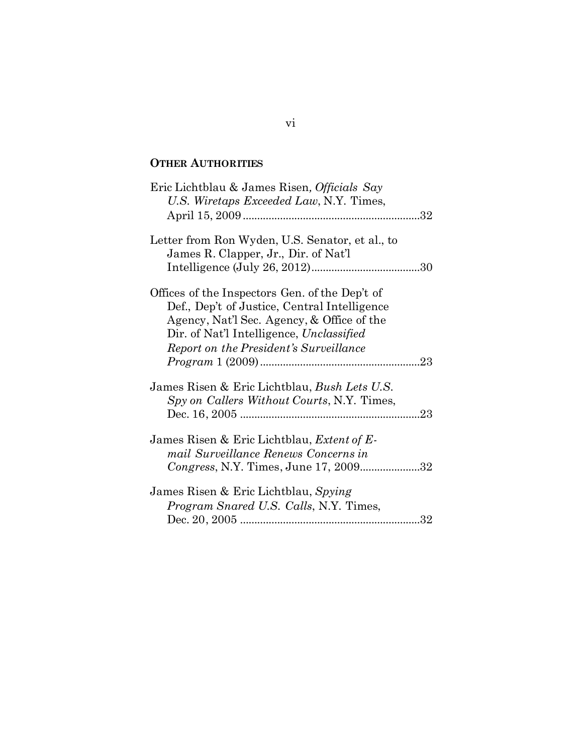### **OTHER AUTHORITIES**

| Eric Lichtblau & James Risen, Officials Say<br>U.S. Wiretaps Exceeded Law, N.Y. Times,                                                                                                                                             |  |
|------------------------------------------------------------------------------------------------------------------------------------------------------------------------------------------------------------------------------------|--|
| Letter from Ron Wyden, U.S. Senator, et al., to<br>James R. Clapper, Jr., Dir. of Nat'l                                                                                                                                            |  |
| Offices of the Inspectors Gen. of the Dep't of<br>Def., Dep't of Justice, Central Intelligence<br>Agency, Nat'l Sec. Agency, & Office of the<br>Dir. of Nat'l Intelligence, Unclassified<br>Report on the President's Surveillance |  |
| James Risen & Eric Lichtblau, <i>Bush Lets U.S.</i><br>Spy on Callers Without Courts, N.Y. Times,                                                                                                                                  |  |
| James Risen & Eric Lichtblau, <i>Extent of E-</i><br>mail Surveillance Renews Concerns in<br>Congress, N.Y. Times, June 17, 200932                                                                                                 |  |
| James Risen & Eric Lichtblau, Spying<br><i>Program Snared U.S. Calls, N.Y. Times,</i>                                                                                                                                              |  |

## vi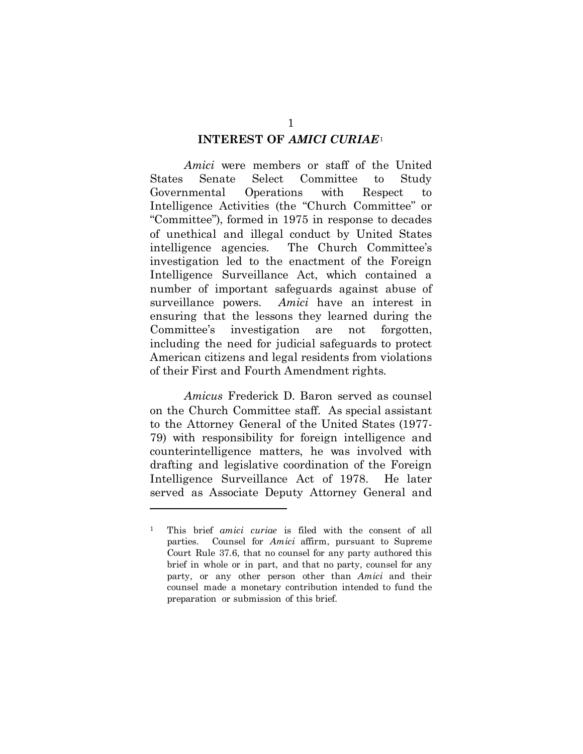#### **INTEREST OF** *AMICI CURIAE*[1](#page-8-1)

<span id="page-8-0"></span>*Amici* were members or staff of the United States Senate Select Committee to Study Governmental Operations with Respect to Intelligence Activities (the "Church Committee" or "Committee"), formed in 1975 in response to decades of unethical and illegal conduct by United States intelligence agencies. The Church Committee's investigation led to the enactment of the Foreign Intelligence Surveillance Act, which contained a number of important safeguards against abuse of surveillance powers. *Amici* have an interest in ensuring that the lessons they learned during the Committee's investigation are not forgotten, including the need for judicial safeguards to protect American citizens and legal residents from violations of their First and Fourth Amendment rights.

*Amicus* Frederick D. Baron served as counsel on the Church Committee staff. As special assistant to the Attorney General of the United States (1977- 79) with responsibility for foreign intelligence and counterintelligence matters, he was involved with drafting and legislative coordination of the Foreign Intelligence Surveillance Act of 1978. He later served as Associate Deputy Attorney General and

1

<span id="page-8-1"></span><sup>1</sup> This brief *amici curiae* is filed with the consent of all parties. Counsel for *Amici* affirm, pursuant to Supreme Court Rule 37.6, that no counsel for any party authored this brief in whole or in part, and that no party, counsel for any party, or any other person other than *Amici* and their counsel made a monetary contribution intended to fund the preparation or submission of this brief.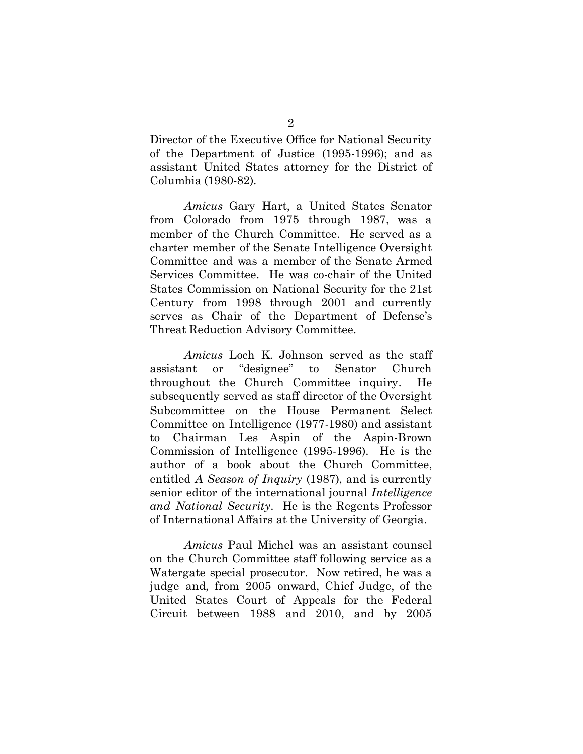Director of the Executive Office for National Security of the Department of Justice (1995-1996); and as assistant United States attorney for the District of Columbia (1980-82).

*Amicus* Gary Hart, a United States Senator from Colorado from 1975 through 1987, was a member of the Church Committee. He served as a charter member of the Senate Intelligence Oversight Committee and was a member of the Senate Armed Services Committee. He was co-chair of the United States Commission on National Security for the 21st Century from 1998 through 2001 and currently serves as Chair of the Department of Defense's Threat Reduction Advisory Committee.

*Amicus* Loch K. Johnson served as the staff assistant or "designee" to Senator Church throughout the Church Committee inquiry. He subsequently served as staff director of the Oversight Subcommittee on the House Permanent Select Committee on Intelligence (1977-1980) and assistant to Chairman Les Aspin of the Aspin-Brown Commission of Intelligence (1995-1996). He is the author of a book about the Church Committee, entitled *A Season of Inquiry* (1987), and is currently senior editor of the international journal *Intelligence and National Security*. He is the Regents Professor of International Affairs at the University of Georgia.

*Amicus* Paul Michel was an assistant counsel on the Church Committee staff following service as a Watergate special prosecutor. Now retired, he was a judge and, from 2005 onward, Chief Judge, of the United States Court of Appeals for the Federal Circuit between 1988 and 2010, and by 2005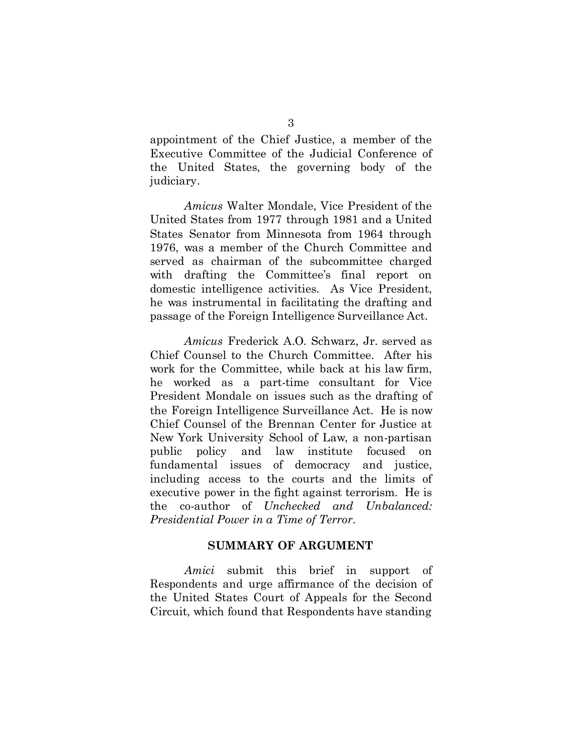appointment of the Chief Justice, a member of the Executive Committee of the Judicial Conference of the United States, the governing body of the judiciary.

*Amicus* Walter Mondale, Vice President of the United States from 1977 through 1981 and a United States Senator from Minnesota from 1964 through 1976, was a member of the Church Committee and served as chairman of the subcommittee charged with drafting the Committee's final report on domestic intelligence activities. As Vice President, he was instrumental in facilitating the drafting and passage of the Foreign Intelligence Surveillance Act.

*Amicus* Frederick A.O. Schwarz, Jr. served as Chief Counsel to the Church Committee. After his work for the Committee, while back at his law firm, he worked as a part-time consultant for Vice President Mondale on issues such as the drafting of the Foreign Intelligence Surveillance Act. He is now Chief Counsel of the Brennan Center for Justice at New York University School of Law, a non-partisan public policy and law institute focused on fundamental issues of democracy and justice, including access to the courts and the limits of executive power in the fight against terrorism. He is the co-author of *Unchecked and Unbalanced: Presidential Power in a Time of Terror*.

#### **SUMMARY OF ARGUMENT**

<span id="page-10-0"></span>*Amici* submit this brief in support of Respondents and urge affirmance of the decision of the United States Court of Appeals for the Second Circuit, which found that Respondents have standing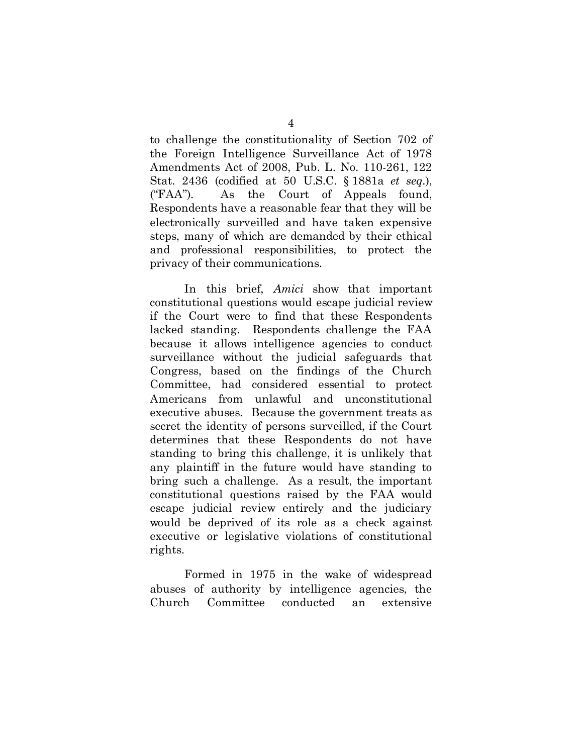to challenge the constitutionality of Section 702 of the Foreign Intelligence Surveillance Act of 1978 Amendments Act of 2008, Pub. L. No. 110-261, 122 Stat. 2436 (codified at 50 U.S.C. § 1881a *et seq.*), ("FAA"). As the Court of Appeals found, Respondents have a reasonable fear that they will be electronically surveilled and have taken expensive steps, many of which are demanded by their ethical and professional responsibilities, to protect the privacy of their communications.

In this brief, *Amici* show that important constitutional questions would escape judicial review if the Court were to find that these Respondents lacked standing. Respondents challenge the FAA because it allows intelligence agencies to conduct surveillance without the judicial safeguards that Congress, based on the findings of the Church Committee, had considered essential to protect Americans from unlawful and unconstitutional executive abuses. Because the government treats as secret the identity of persons surveilled, if the Court determines that these Respondents do not have standing to bring this challenge, it is unlikely that any plaintiff in the future would have standing to bring such a challenge. As a result, the important constitutional questions raised by the FAA would escape judicial review entirely and the judiciary would be deprived of its role as a check against executive or legislative violations of constitutional rights.

Formed in 1975 in the wake of widespread abuses of authority by intelligence agencies, the Church Committee conducted an extensive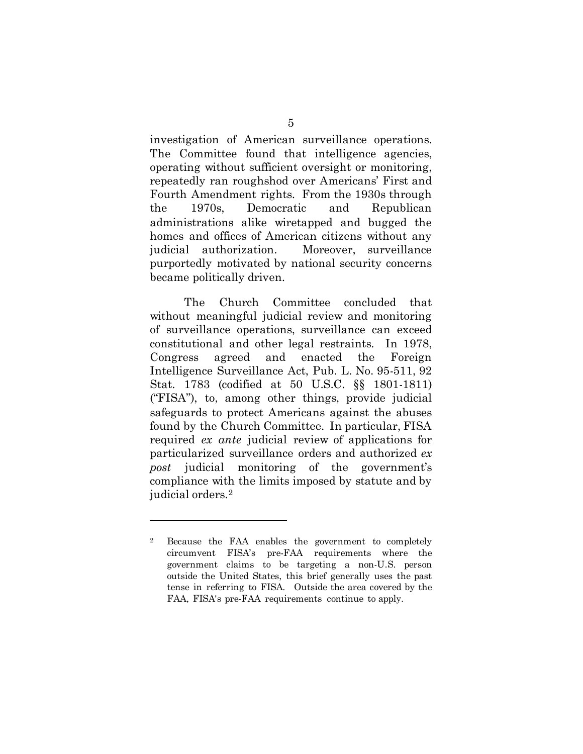investigation of American surveillance operations. The Committee found that intelligence agencies, operating without sufficient oversight or monitoring, repeatedly ran roughshod over Americans' First and Fourth Amendment rights. From the 1930s through the 1970s, Democratic and Republican administrations alike wiretapped and bugged the homes and offices of American citizens without any judicial authorization. Moreover, surveillance purportedly motivated by national security concerns became politically driven.

The Church Committee concluded that without meaningful judicial review and monitoring of surveillance operations, surveillance can exceed constitutional and other legal restraints. In 1978, Congress agreed and enacted the Foreign Intelligence Surveillance Act, Pub. L. No. 95-511, 92 Stat. 1783 (codified at 50 U.S.C. §§ 1801-1811) ("FISA"), to, among other things, provide judicial safeguards to protect Americans against the abuses found by the Church Committee. In particular, FISA required *ex ante* judicial review of applications for particularized surveillance orders and authorized *ex post* judicial monitoring of the government's compliance with the limits imposed by statute and by judicial orders.[2](#page-12-0)

 $\overline{a}$ 

<span id="page-12-0"></span><sup>2</sup> Because the FAA enables the government to completely circumvent FISA's pre-FAA requirements where the government claims to be targeting a non-U.S. person outside the United States, this brief generally uses the past tense in referring to FISA. Outside the area covered by the FAA, FISA's pre-FAA requirements continue to apply.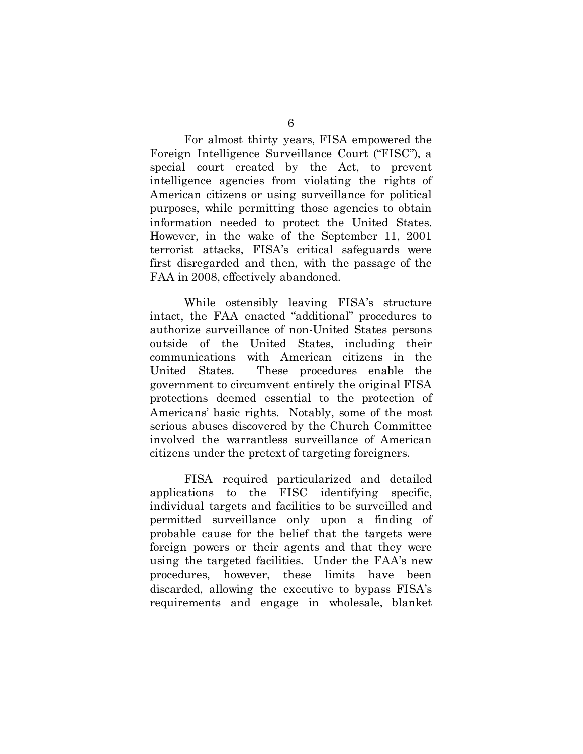For almost thirty years, FISA empowered the Foreign Intelligence Surveillance Court ("FISC"), a special court created by the Act, to prevent intelligence agencies from violating the rights of American citizens or using surveillance for political purposes, while permitting those agencies to obtain information needed to protect the United States. However, in the wake of the September 11, 2001 terrorist attacks, FISA's critical safeguards were first disregarded and then, with the passage of the FAA in 2008, effectively abandoned.

While ostensibly leaving FISA's structure intact, the FAA enacted "additional" procedures to authorize surveillance of non-United States persons outside of the United States, including their communications with American citizens in the United States. These procedures enable the government to circumvent entirely the original FISA protections deemed essential to the protection of Americans' basic rights. Notably, some of the most serious abuses discovered by the Church Committee involved the warrantless surveillance of American citizens under the pretext of targeting foreigners.

FISA required particularized and detailed applications to the FISC identifying specific, individual targets and facilities to be surveilled and permitted surveillance only upon a finding of probable cause for the belief that the targets were foreign powers or their agents and that they were using the targeted facilities. Under the FAA's new procedures, however, these limits have been discarded, allowing the executive to bypass FISA's requirements and engage in wholesale, blanket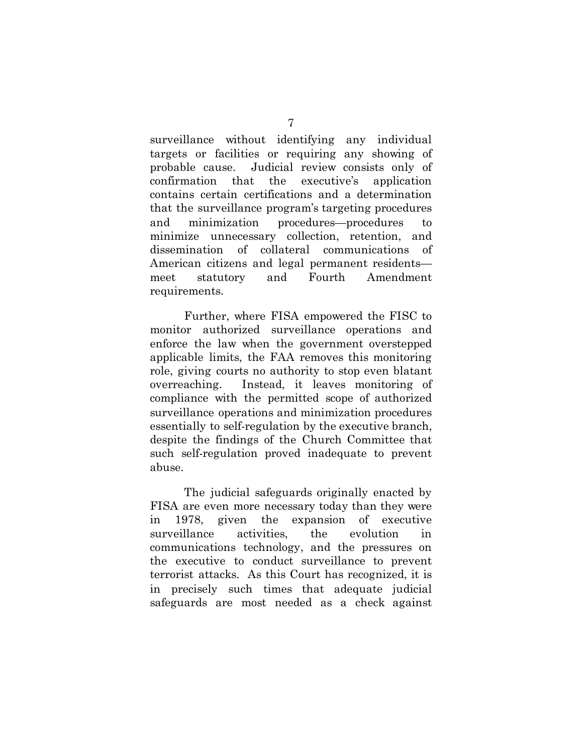surveillance without identifying any individual targets or facilities or requiring any showing of probable cause. Judicial review consists only of confirmation that the executive's application contains certain certifications and a determination that the surveillance program's targeting procedures and minimization procedures—procedures to minimize unnecessary collection, retention, and dissemination of collateral communications of American citizens and legal permanent residents meet statutory and Fourth Amendment requirements.

Further, where FISA empowered the FISC to monitor authorized surveillance operations and enforce the law when the government overstepped applicable limits, the FAA removes this monitoring role, giving courts no authority to stop even blatant overreaching. Instead, it leaves monitoring of compliance with the permitted scope of authorized surveillance operations and minimization procedures essentially to self-regulation by the executive branch, despite the findings of the Church Committee that such self-regulation proved inadequate to prevent abuse.

The judicial safeguards originally enacted by FISA are even more necessary today than they were in 1978, given the expansion of executive surveillance activities, the evolution in communications technology, and the pressures on the executive to conduct surveillance to prevent terrorist attacks. As this Court has recognized, it is in precisely such times that adequate judicial safeguards are most needed as a check against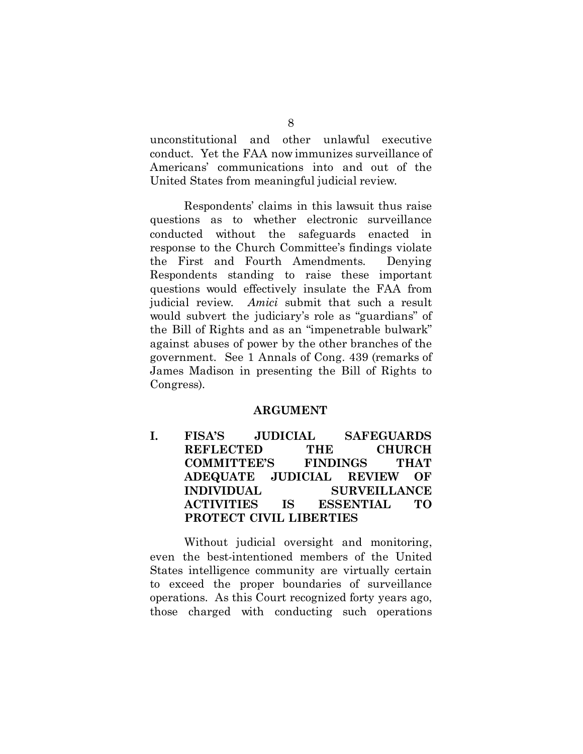unconstitutional and other unlawful executive conduct. Yet the FAA now immunizes surveillance of Americans' communications into and out of the United States from meaningful judicial review.

Respondents' claims in this lawsuit thus raise questions as to whether electronic surveillance conducted without the safeguards enacted in response to the Church Committee's findings violate the First and Fourth Amendments. Denying Respondents standing to raise these important questions would effectively insulate the FAA from judicial review. *Amici* submit that such a result would subvert the judiciary's role as "guardians" of the Bill of Rights and as an "impenetrable bulwark" against abuses of power by the other branches of the government. See 1 Annals of Cong. 439 (remarks of James Madison in presenting the Bill of Rights to Congress).

#### <span id="page-15-2"></span>**ARGUMENT**

<span id="page-15-1"></span><span id="page-15-0"></span>**I. FISA'S JUDICIAL SAFEGUARDS REFLECTED THE CHURCH COMMITTEE'S FINDINGS THAT ADEQUATE JUDICIAL REVIEW OF INDIVIDUAL SURVEILLANCE ACTIVITIES IS ESSENTIAL TO PROTECT CIVIL LIBERTIES**

Without judicial oversight and monitoring, even the best-intentioned members of the United States intelligence community are virtually certain to exceed the proper boundaries of surveillance operations. As this Court recognized forty years ago, those charged with conducting such operations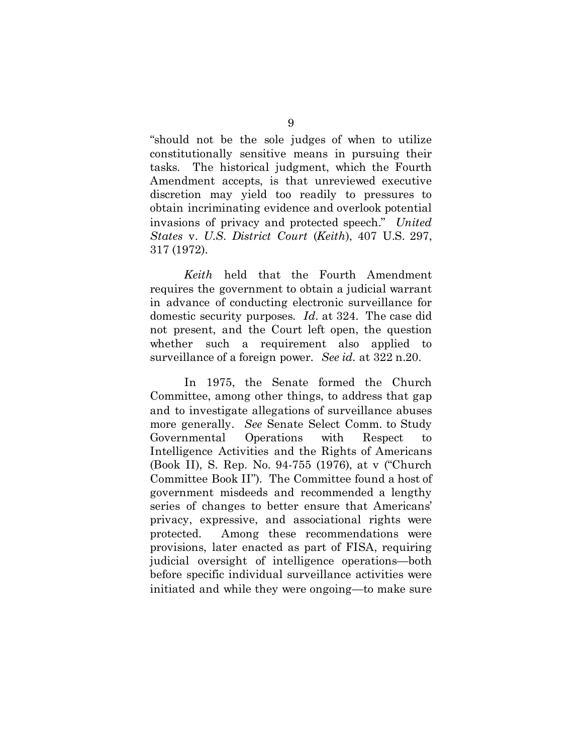"should not be the sole judges of when to utilize constitutionally sensitive means in pursuing their tasks. The historical judgment, which the Fourth Amendment accepts, is that unreviewed executive discretion may yield too readily to pressures to obtain incriminating evidence and overlook potential invasions of privacy and protected speech." *United States* v. *U.S. District Court* (*Keith*), 407 U.S. 297, 317 (1972).

<span id="page-16-0"></span>*Keith* held that the Fourth Amendment requires the government to obtain a judicial warrant in advance of conducting electronic surveillance for domestic security purposes. *Id.* at 324. The case did not present, and the Court left open, the question whether such a requirement also applied to surveillance of a foreign power. *See id.* at 322 n.20.

<span id="page-16-1"></span>In 1975, the Senate formed the Church Committee, among other things, to address that gap and to investigate allegations of surveillance abuses more generally. *See* Senate Select Comm. to Study Governmental Operations with Respect to Intelligence Activities and the Rights of Americans (Book II), S. Rep. No. 94-755 (1976), at v ("Church Committee Book II"). The Committee found a host of government misdeeds and recommended a lengthy series of changes to better ensure that Americans' privacy, expressive, and associational rights were protected. Among these recommendations were provisions, later enacted as part of FISA, requiring judicial oversight of intelligence operations—both before specific individual surveillance activities were initiated and while they were ongoing—to make sure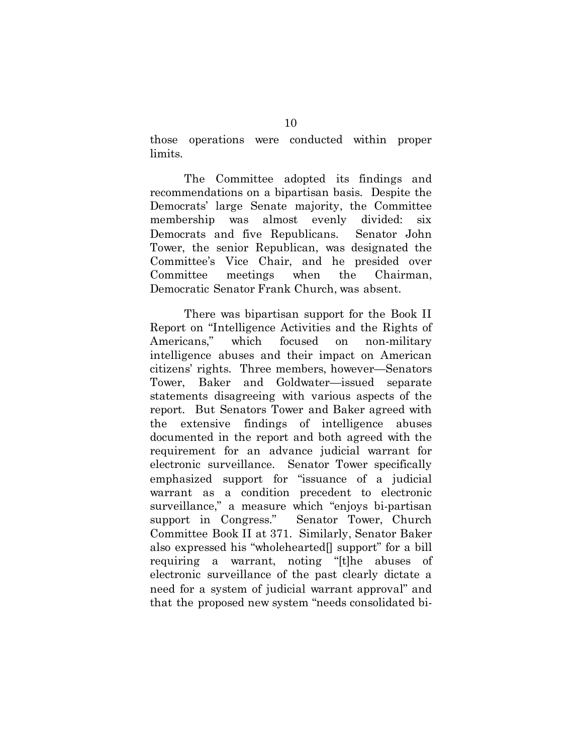those operations were conducted within proper limits.

The Committee adopted its findings and recommendations on a bipartisan basis. Despite the Democrats' large Senate majority, the Committee membership was almost evenly divided: six Democrats and five Republicans. Senator John Tower, the senior Republican, was designated the Committee's Vice Chair, and he presided over Committee meetings when the Chairman, Democratic Senator Frank Church, was absent.

There was bipartisan support for the Book II Report on "Intelligence Activities and the Rights of Americans," which focused on non-military intelligence abuses and their impact on American citizens' rights. Three members, however—Senators Tower, Baker and Goldwater—issued separate statements disagreeing with various aspects of the report. But Senators Tower and Baker agreed with the extensive findings of intelligence abuses documented in the report and both agreed with the requirement for an advance judicial warrant for electronic surveillance. Senator Tower specifically emphasized support for "issuance of a judicial warrant as a condition precedent to electronic surveillance," a measure which "enjoys bi-partisan support in Congress." Senator Tower, Church Committee Book II at 371. Similarly, Senator Baker also expressed his "wholehearted[] support" for a bill requiring a warrant, noting "[t]he abuses of electronic surveillance of the past clearly dictate a need for a system of judicial warrant approval" and that the proposed new system "needs consolidated bi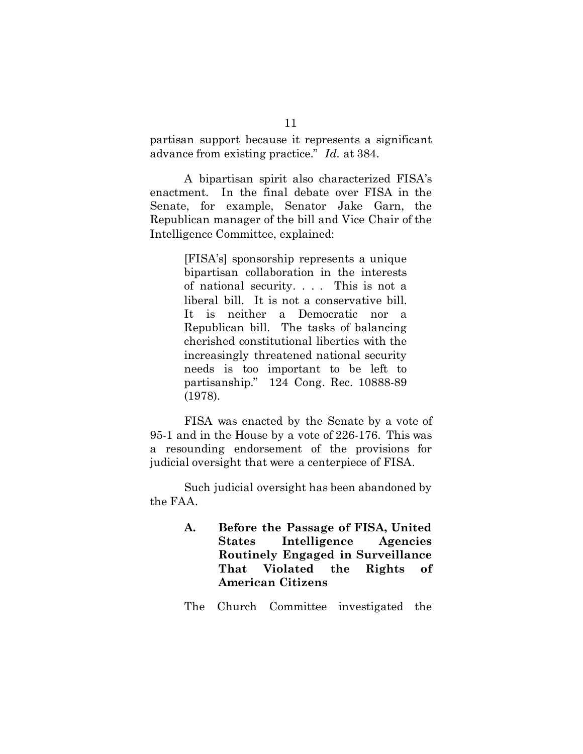partisan support because it represents a significant advance from existing practice." *Id.* at 384.

A bipartisan spirit also characterized FISA's enactment. In the final debate over FISA in the Senate, for example, Senator Jake Garn, the Republican manager of the bill and Vice Chair of the Intelligence Committee, explained:

> [FISA's] sponsorship represents a unique bipartisan collaboration in the interests of national security. . . . This is not a liberal bill. It is not a conservative bill. It is neither a Democratic nor a Republican bill. The tasks of balancing cherished constitutional liberties with the increasingly threatened national security needs is too important to be left to partisanship." 124 Cong. Rec. 10888-89 (1978).

FISA was enacted by the Senate by a vote of 95-1 and in the House by a vote of 226-176. This was a resounding endorsement of the provisions for judicial oversight that were a centerpiece of FISA.

Such judicial oversight has been abandoned by the FAA.

> <span id="page-18-0"></span>**A. Before the Passage of FISA, United States Intelligence Agencies Routinely Engaged in Surveillance That Violated the Rights of American Citizens**

> The Church Committee investigated the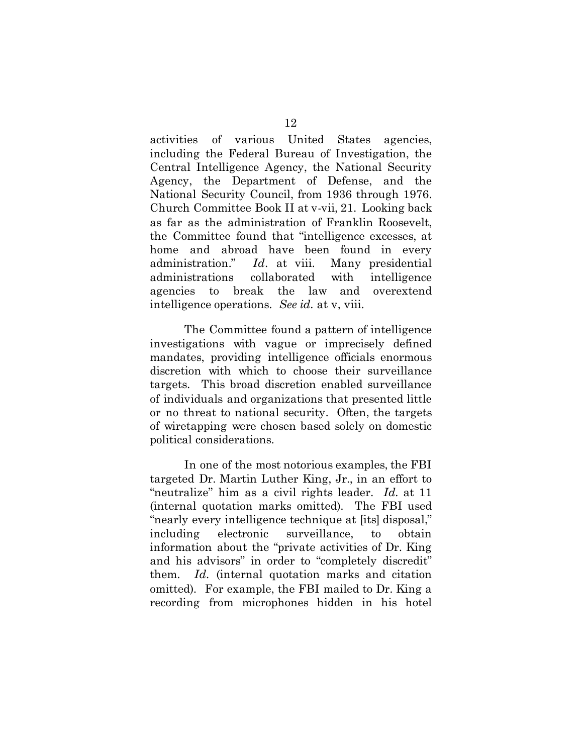activities of various United States agencies, including the Federal Bureau of Investigation, the Central Intelligence Agency, the National Security Agency, the Department of Defense, and the National Security Council, from 1936 through 1976. Church Committee Book II at v-vii, 21. Looking back as far as the administration of Franklin Roosevelt, the Committee found that "intelligence excesses, at home and abroad have been found in every administration." *Id*. at viii. Many presidential administrations collaborated with intelligence agencies to break the law and overextend intelligence operations. *See id.* at v, viii.

The Committee found a pattern of intelligence investigations with vague or imprecisely defined mandates, providing intelligence officials enormous discretion with which to choose their surveillance targets. This broad discretion enabled surveillance of individuals and organizations that presented little or no threat to national security. Often, the targets of wiretapping were chosen based solely on domestic political considerations.

In one of the most notorious examples, the FBI targeted Dr. Martin Luther King, Jr., in an effort to "neutralize" him as a civil rights leader. *Id.* at 11 (internal quotation marks omitted). The FBI used "nearly every intelligence technique at [its] disposal," including electronic surveillance, to obtain information about the "private activities of Dr. King and his advisors" in order to "completely discredit" them. *Id.* (internal quotation marks and citation omitted). For example, the FBI mailed to Dr. King a recording from microphones hidden in his hotel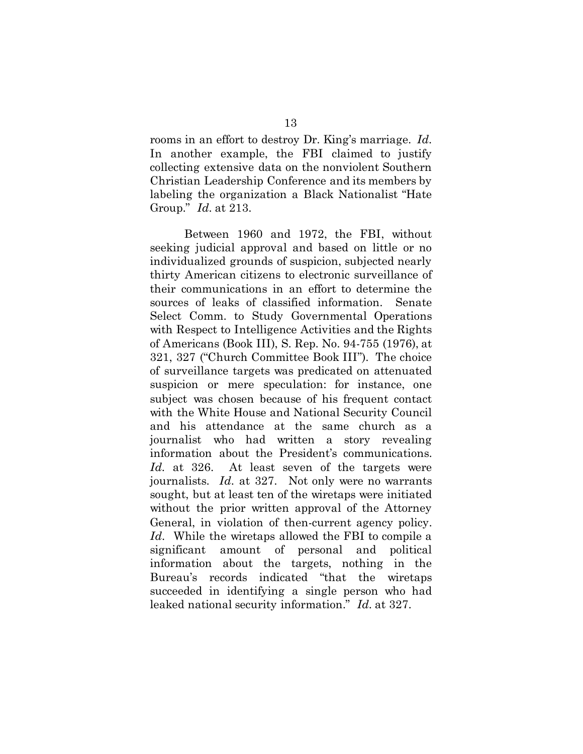rooms in an effort to destroy Dr. King's marriage. *Id.*  In another example, the FBI claimed to justify collecting extensive data on the nonviolent Southern Christian Leadership Conference and its members by labeling the organization a Black Nationalist "Hate Group." *Id.* at 213.

<span id="page-20-0"></span>Between 1960 and 1972, the FBI, without seeking judicial approval and based on little or no individualized grounds of suspicion, subjected nearly thirty American citizens to electronic surveillance of their communications in an effort to determine the sources of leaks of classified information. Senate Select Comm. to Study Governmental Operations with Respect to Intelligence Activities and the Rights of Americans (Book III), S. Rep. No. 94-755 (1976), at 321, 327 ("Church Committee Book III"). The choice of surveillance targets was predicated on attenuated suspicion or mere speculation: for instance, one subject was chosen because of his frequent contact with the White House and National Security Council and his attendance at the same church as a journalist who had written a story revealing information about the President's communications. *Id.* at 326. At least seven of the targets were journalists. *Id.* at 327.Not only were no warrants sought, but at least ten of the wiretaps were initiated without the prior written approval of the Attorney General, in violation of then-current agency policy. *Id.* While the wiretaps allowed the FBI to compile a significant amount of personal and political information about the targets, nothing in the Bureau's records indicated "that the wiretaps succeeded in identifying a single person who had leaked national security information." *Id.* at 327.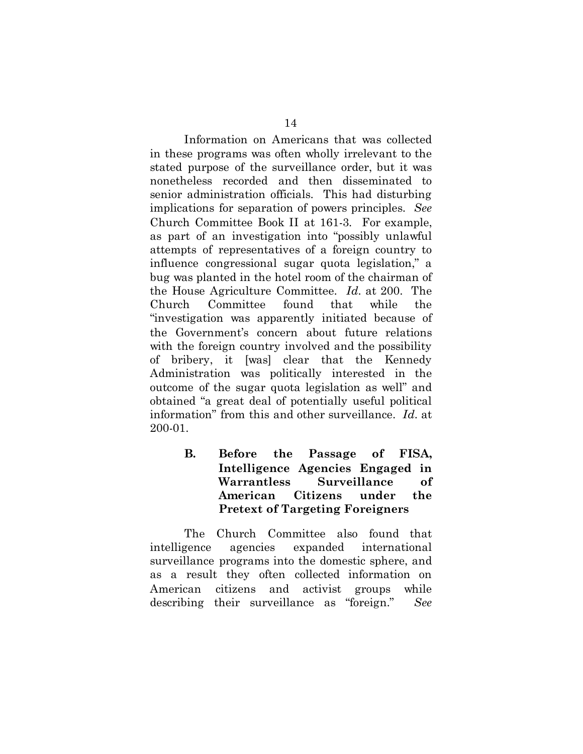Information on Americans that was collected in these programs was often wholly irrelevant to the stated purpose of the surveillance order, but it was nonetheless recorded and then disseminated to senior administration officials. This had disturbing implications for separation of powers principles. *See*  Church Committee Book II at 161-3*.* For example, as part of an investigation into "possibly unlawful attempts of representatives of a foreign country to influence congressional sugar quota legislation," a bug was planted in the hotel room of the chairman of the House Agriculture Committee. *Id.* at 200. The Church Committee found that while the "investigation was apparently initiated because of the Government's concern about future relations with the foreign country involved and the possibility of bribery, it [was] clear that the Kennedy Administration was politically interested in the outcome of the sugar quota legislation as well" and obtained "a great deal of potentially useful political information" from this and other surveillance. *Id.* at 200-01.

> <span id="page-21-0"></span>**B. Before the Passage of FISA, Intelligence Agencies Engaged in Warrantless Surveillance of American Citizens under the Pretext of Targeting Foreigners**

The Church Committee also found that intelligence agencies expanded international surveillance programs into the domestic sphere, and as a result they often collected information on American citizens and activist groups while describing their surveillance as "foreign." *See*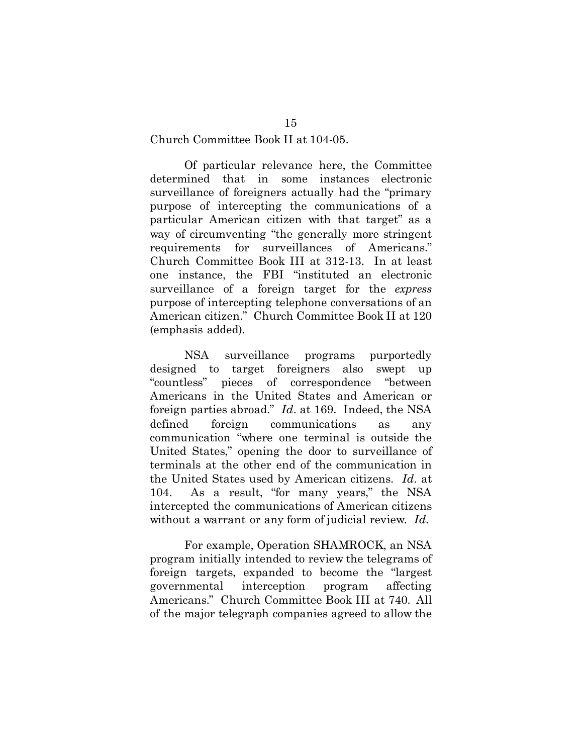#### Church Committee Book II at 104-05.

<span id="page-22-0"></span>Of particular relevance here, the Committee determined that in some instances electronic surveillance of foreigners actually had the "primary purpose of intercepting the communications of a particular American citizen with that target" as a way of circumventing "the generally more stringent requirements for surveillances of Americans." Church Committee Book III at 312-13. In at least one instance, the FBI "instituted an electronic surveillance of a foreign target for the *express* purpose of intercepting telephone conversations of an American citizen." Church Committee Book II at 120 (emphasis added).

NSA surveillance programs purportedly designed to target foreigners also swept up "countless" pieces of correspondence "between Americans in the United States and American or foreign parties abroad." *Id*. at 169. Indeed, the NSA defined foreign communications as any communication "where one terminal is outside the United States," opening the door to surveillance of terminals at the other end of the communication in the United States used by American citizens. *Id.* at 104. As a result, "for many years," the NSA intercepted the communications of American citizens without a warrant or any form of judicial review. *Id.*

For example, Operation SHAMROCK, an NSA program initially intended to review the telegrams of foreign targets, expanded to become the "largest governmental interception program affecting Americans." Church Committee Book III at 740*.* All of the major telegraph companies agreed to allow the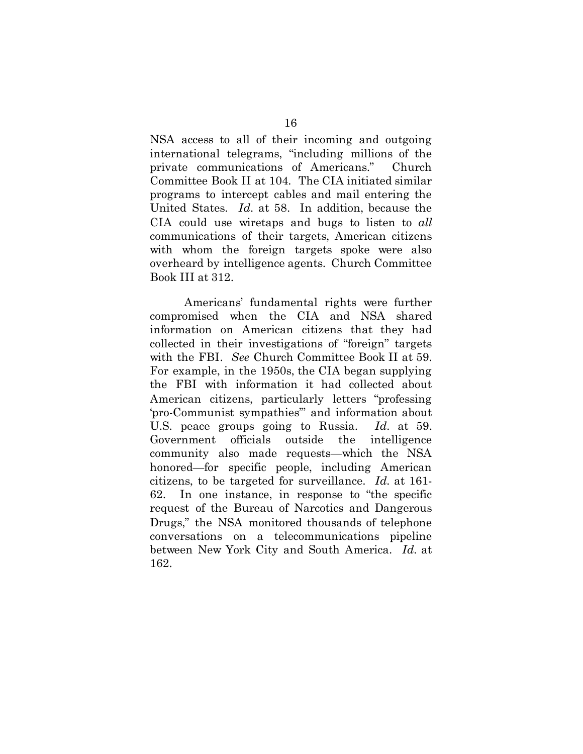NSA access to all of their incoming and outgoing international telegrams, "including millions of the private communications of Americans." Church Committee Book II at 104*.* The CIA initiated similar programs to intercept cables and mail entering the United States. *Id.* at 58. In addition, because the CIA could use wiretaps and bugs to listen to *all* communications of their targets, American citizens with whom the foreign targets spoke were also overheard by intelligence agents. Church Committee Book III at 312.

<span id="page-23-0"></span>Americans' fundamental rights were further compromised when the CIA and NSA shared information on American citizens that they had collected in their investigations of "foreign" targets with the FBI. *See* Church Committee Book II at 59. For example, in the 1950s, the CIA began supplying the FBI with information it had collected about American citizens, particularly letters "professing 'pro-Communist sympathies'" and information about U.S. peace groups going to Russia. *Id.* at 59. Government officials outside the intelligence community also made requests—which the NSA honored—for specific people, including American citizens, to be targeted for surveillance. *Id.* at 161- 62. In one instance, in response to "the specific request of the Bureau of Narcotics and Dangerous Drugs," the NSA monitored thousands of telephone conversations on a telecommunications pipeline between New York City and South America. *Id.* at 162.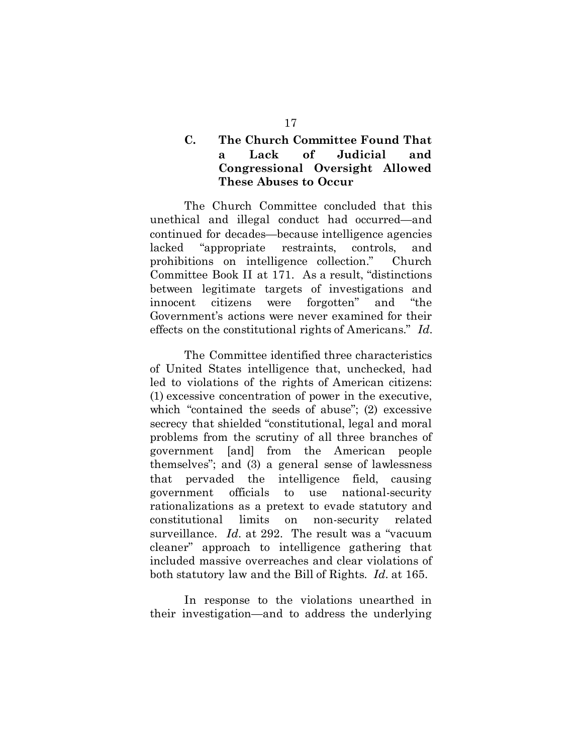## <span id="page-24-0"></span>**C. The Church Committee Found That a Lack of Judicial and Congressional Oversight Allowed These Abuses to Occur**

The Church Committee concluded that this unethical and illegal conduct had occurred—and continued for decades—because intelligence agencies lacked "appropriate restraints, controls, and prohibitions on intelligence collection." Church Committee Book II at 171. As a result, "distinctions between legitimate targets of investigations and innocent citizens were forgotten" and "the Government's actions were never examined for their effects on the constitutional rights of Americans." *Id.*

The Committee identified three characteristics of United States intelligence that, unchecked, had led to violations of the rights of American citizens: (1) excessive concentration of power in the executive, which "contained the seeds of abuse"; (2) excessive secrecy that shielded "constitutional, legal and moral problems from the scrutiny of all three branches of government [and] from the American people themselves"; and (3) a general sense of lawlessness that pervaded the intelligence field, causing government officials to use national-security rationalizations as a pretext to evade statutory and constitutional limits on non-security related surveillance. *Id.* at 292.The result was a "vacuum cleaner" approach to intelligence gathering that included massive overreaches and clear violations of both statutory law and the Bill of Rights. *Id.* at 165.

In response to the violations unearthed in their investigation—and to address the underlying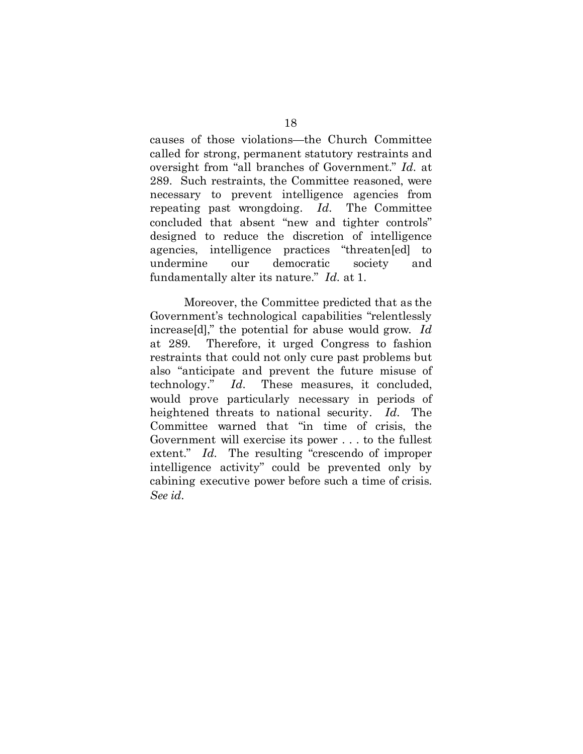causes of those violations—the Church Committee called for strong, permanent statutory restraints and oversight from "all branches of Government." *Id.* at 289. Such restraints, the Committee reasoned, were necessary to prevent intelligence agencies from repeating past wrongdoing. *Id.* The Committee concluded that absent "new and tighter controls" designed to reduce the discretion of intelligence agencies, intelligence practices "threaten[ed] to undermine our democratic society and fundamentally alter its nature." *Id.* at 1.

Moreover, the Committee predicted that as the Government's technological capabilities "relentlessly increase[d]," the potential for abuse would grow. *Id* at 289*.* Therefore, it urged Congress to fashion restraints that could not only cure past problems but also "anticipate and prevent the future misuse of technology." *Id.* These measures, it concluded, would prove particularly necessary in periods of heightened threats to national security. *Id.* The Committee warned that "in time of crisis, the Government will exercise its power . . . to the fullest extent." Id. The resulting "crescendo of improper intelligence activity" could be prevented only by cabining executive power before such a time of crisis. *See id.*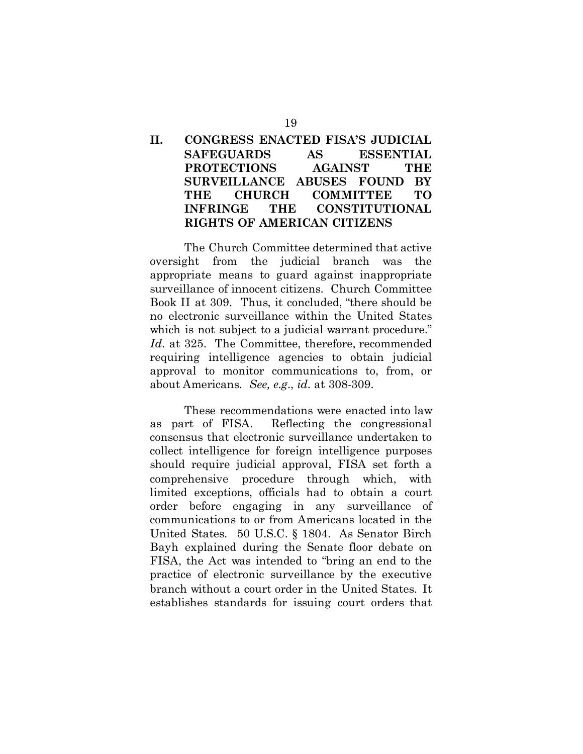## <span id="page-26-0"></span>**II. CONGRESS ENACTED FISA'S JUDICIAL SAFEGUARDS AS ESSENTIAL PROTECTIONS AGAINST THE SURVEILLANCE ABUSES FOUND BY THE CHURCH COMMITTEE TO INFRINGE THE CONSTITUTIONAL RIGHTS OF AMERICAN CITIZENS**

The Church Committee determined that active oversight from the judicial branch was the appropriate means to guard against inappropriate surveillance of innocent citizens. Church Committee Book II at 309. Thus, it concluded, "there should be no electronic surveillance within the United States which is not subject to a judicial warrant procedure." *Id.* at 325. The Committee, therefore, recommended requiring intelligence agencies to obtain judicial approval to monitor communications to, from, or about Americans. *See, e.g.*, *id.* at 308-309.

<span id="page-26-1"></span>These recommendations were enacted into law as part of FISA. Reflecting the congressional consensus that electronic surveillance undertaken to collect intelligence for foreign intelligence purposes should require judicial approval, FISA set forth a comprehensive procedure through which, with limited exceptions, officials had to obtain a court order before engaging in any surveillance of communications to or from Americans located in the United States. 50 U.S.C. § 1804. As Senator Birch Bayh explained during the Senate floor debate on FISA, the Act was intended to "bring an end to the practice of electronic surveillance by the executive branch without a court order in the United States. It establishes standards for issuing court orders that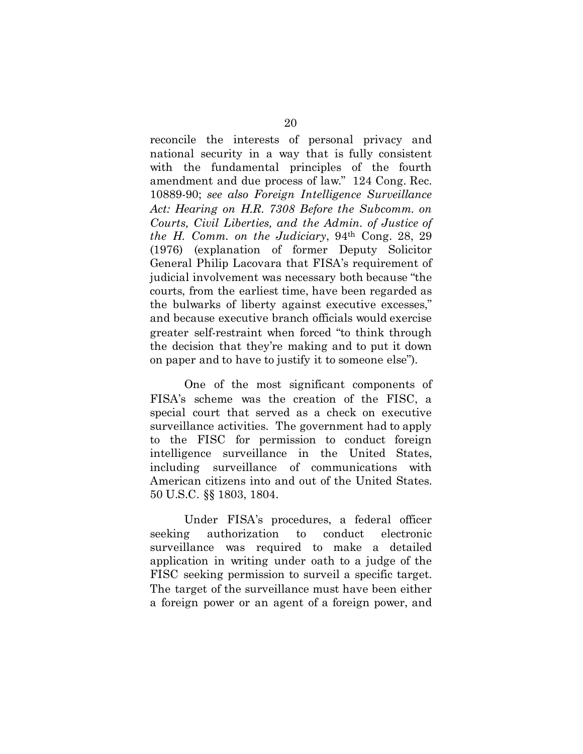reconcile the interests of personal privacy and national security in a way that is fully consistent with the fundamental principles of the fourth amendment and due process of law." 124 Cong. Rec. 10889-90; *see also Foreign Intelligence Surveillance Act: Hearing on H.R. 7308 Before the Subcomm. on Courts, Civil Liberties, and the Admin. of Justice of the H. Comm. on the Judiciary*, 94th Cong. 28, 29 (1976) (explanation of former Deputy Solicitor General Philip Lacovara that FISA's requirement of judicial involvement was necessary both because "the courts, from the earliest time, have been regarded as the bulwarks of liberty against executive excesses," and because executive branch officials would exercise greater self-restraint when forced "to think through the decision that they're making and to put it down on paper and to have to justify it to someone else").

One of the most significant components of FISA's scheme was the creation of the FISC, a special court that served as a check on executive surveillance activities. The government had to apply to the FISC for permission to conduct foreign intelligence surveillance in the United States, including surveillance of communications with American citizens into and out of the United States. 50 U.S.C. §§ 1803, 1804.

<span id="page-27-0"></span>Under FISA's procedures, a federal officer seeking authorization to conduct electronic surveillance was required to make a detailed application in writing under oath to a judge of the FISC seeking permission to surveil a specific target. The target of the surveillance must have been either a foreign power or an agent of a foreign power, and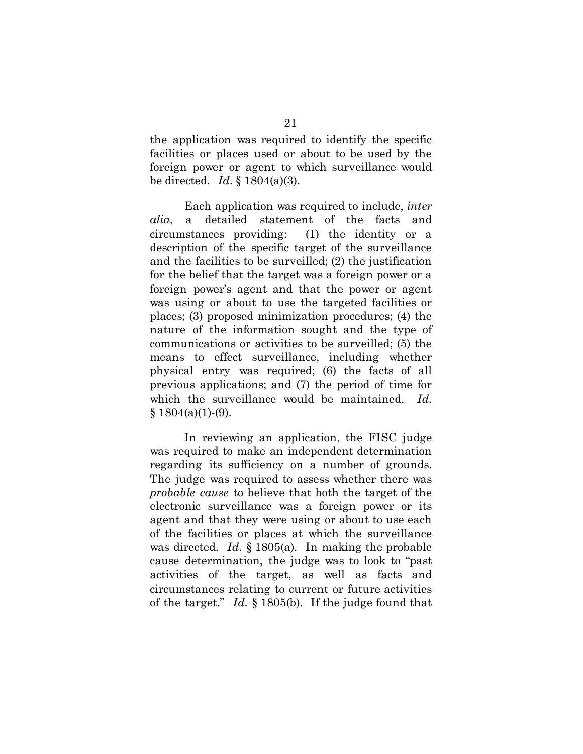the application was required to identify the specific facilities or places used or about to be used by the foreign power or agent to which surveillance would be directed. *Id.* § 1804(a)(3).

Each application was required to include, *inter alia*, a detailed statement of the facts and circumstances providing: (1) the identity or a description of the specific target of the surveillance and the facilities to be surveilled; (2) the justification for the belief that the target was a foreign power or a foreign power's agent and that the power or agent was using or about to use the targeted facilities or places; (3) proposed minimization procedures; (4) the nature of the information sought and the type of communications or activities to be surveilled; (5) the means to effect surveillance, including whether physical entry was required; (6) the facts of all previous applications; and (7) the period of time for which the surveillance would be maintained. *Id.*  $§ 1804(a)(1)-(9).$ 

In reviewing an application, the FISC judge was required to make an independent determination regarding its sufficiency on a number of grounds. The judge was required to assess whether there was *probable cause* to believe that both the target of the electronic surveillance was a foreign power or its agent and that they were using or about to use each of the facilities or places at which the surveillance was directed. *Id.* § 1805(a). In making the probable cause determination, the judge was to look to "past activities of the target, as well as facts and circumstances relating to current or future activities of the target." *Id.* § 1805(b). If the judge found that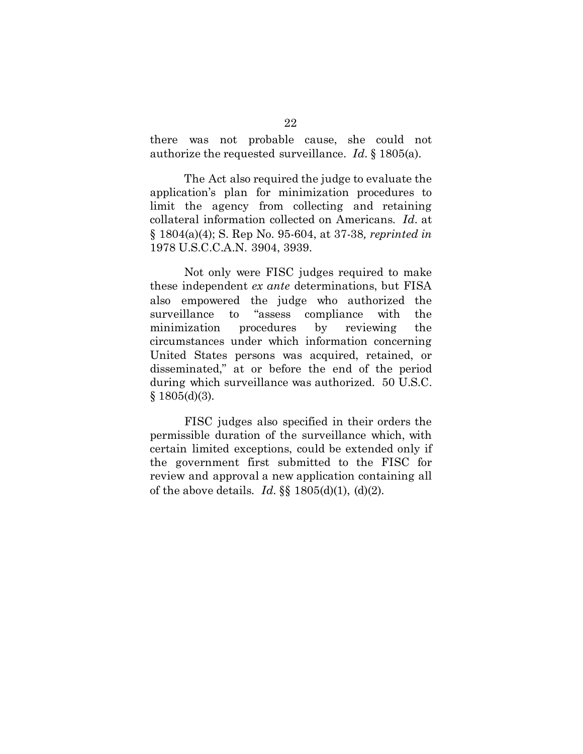there was not probable cause, she could not authorize the requested surveillance. *Id.* § 1805(a).

The Act also required the judge to evaluate the application's plan for minimization procedures to limit the agency from collecting and retaining collateral information collected on Americans. *Id.* at § 1804(a)(4); S. Rep No. 95-604, at 37-38*, reprinted in*  1978 U.S.C.C.A.N. 3904, 3939.

<span id="page-29-0"></span>Not only were FISC judges required to make these independent *ex ante* determinations, but FISA also empowered the judge who authorized the surveillance to "assess compliance with the minimization procedures by reviewing the circumstances under which information concerning United States persons was acquired, retained, or disseminated," at or before the end of the period during which surveillance was authorized. 50 U.S.C.  $§ 1805(d)(3).$ 

FISC judges also specified in their orders the permissible duration of the surveillance which, with certain limited exceptions, could be extended only if the government first submitted to the FISC for review and approval a new application containing all of the above details. *Id.* §§ 1805(d)(1), (d)(2).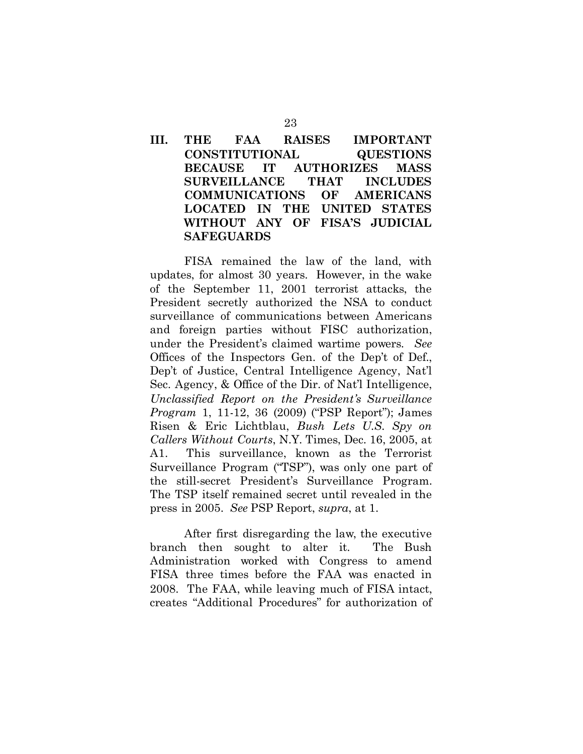## <span id="page-30-0"></span>**III. THE FAA RAISES IMPORTANT CONSTITUTIONAL QUESTIONS BECAUSE IT AUTHORIZES MASS SURVEILLANCE THAT INCLUDES COMMUNICATIONS OF AMERICANS LOCATED IN THE UNITED STATES WITHOUT ANY OF FISA'S JUDICIAL SAFEGUARDS**

FISA remained the law of the land, with updates, for almost 30 years. However, in the wake of the September 11, 2001 terrorist attacks, the President secretly authorized the NSA to conduct surveillance of communications between Americans and foreign parties without FISC authorization, under the President's claimed wartime powers. *See* Offices of the Inspectors Gen. of the Dep't of Def., Dep't of Justice, Central Intelligence Agency, Nat'l Sec. Agency, & Office of the Dir. of Nat'l Intelligence, *Unclassified Report on the President's Surveillance Program* 1, 11-12, 36 (2009) ("PSP Report"); James Risen & Eric Lichtblau, *Bush Lets U.S. Spy on Callers Without Courts*, N.Y. Times, Dec. 16, 2005, at A1. This surveillance, known as the Terrorist Surveillance Program ("TSP"), was only one part of the still-secret President's Surveillance Program. The TSP itself remained secret until revealed in the press in 2005. *See* PSP Report, *supra*, at 1.

After first disregarding the law, the executive branch then sought to alter it. The Bush Administration worked with Congress to amend FISA three times before the FAA was enacted in 2008. The FAA, while leaving much of FISA intact, creates "Additional Procedures" for authorization of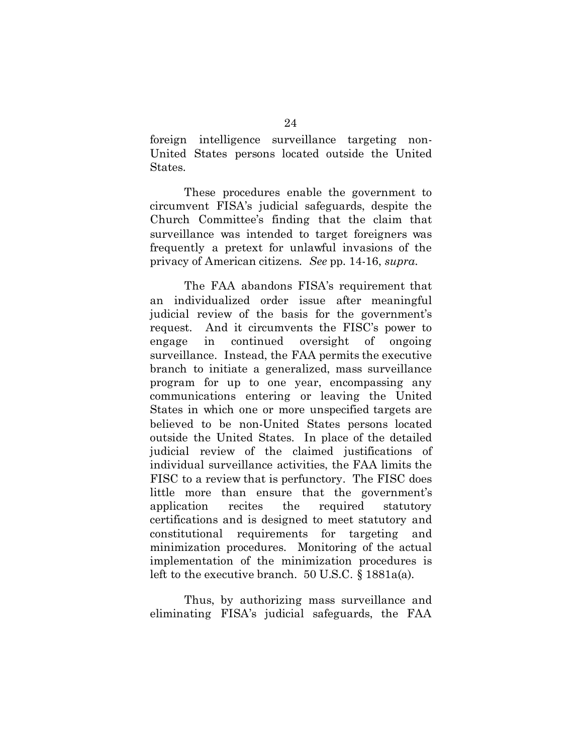foreign intelligence surveillance targeting non-United States persons located outside the United States.

These procedures enable the government to circumvent FISA's judicial safeguards, despite the Church Committee's finding that the claim that surveillance was intended to target foreigners was frequently a pretext for unlawful invasions of the privacy of American citizens. *See* pp. 14-16, *supra*.

The FAA abandons FISA's requirement that an individualized order issue after meaningful judicial review of the basis for the government's request. And it circumvents the FISC's power to engage in continued oversight of ongoing surveillance. Instead, the FAA permits the executive branch to initiate a generalized, mass surveillance program for up to one year, encompassing any communications entering or leaving the United States in which one or more unspecified targets are believed to be non-United States persons located outside the United States. In place of the detailed judicial review of the claimed justifications of individual surveillance activities, the FAA limits the FISC to a review that is perfunctory. The FISC does little more than ensure that the government's application recites the required statutory certifications and is designed to meet statutory and constitutional requirements for targeting and minimization procedures. Monitoring of the actual implementation of the minimization procedures is left to the executive branch. 50 U.S.C. § 1881a(a).

Thus, by authorizing mass surveillance and eliminating FISA's judicial safeguards, the FAA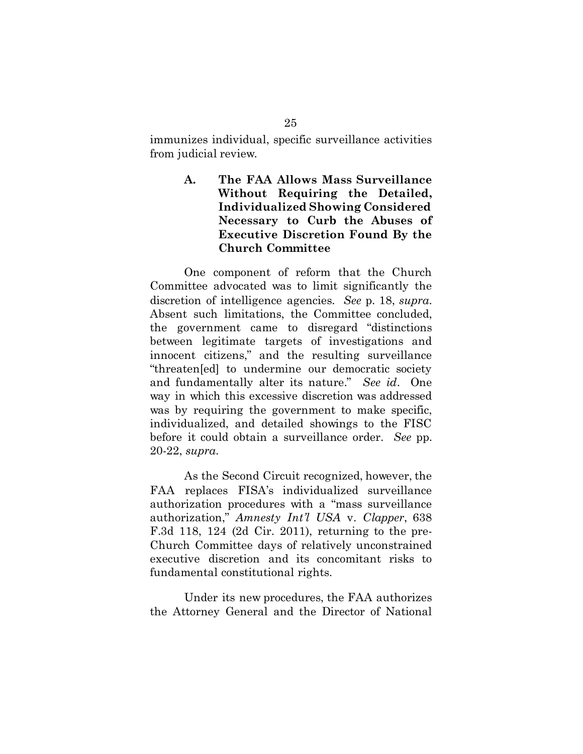immunizes individual, specific surveillance activities from judicial review.

> <span id="page-32-0"></span>**A. The FAA Allows Mass Surveillance Without Requiring the Detailed, Individualized Showing Considered Necessary to Curb the Abuses of Executive Discretion Found By the Church Committee**

One component of reform that the Church Committee advocated was to limit significantly the discretion of intelligence agencies. *See* p. 18, *supra*. Absent such limitations, the Committee concluded, the government came to disregard "distinctions between legitimate targets of investigations and innocent citizens," and the resulting surveillance "threaten[ed] to undermine our democratic society and fundamentally alter its nature." *See id*. One way in which this excessive discretion was addressed was by requiring the government to make specific, individualized, and detailed showings to the FISC before it could obtain a surveillance order. *See* pp. 20-22, *supra*.

As the Second Circuit recognized, however, the FAA replaces FISA's individualized surveillance authorization procedures with a "mass surveillance authorization," *Amnesty Int'l USA* v. *Clapper*, 638 F.3d 118, 124 (2d Cir. 2011), returning to the pre-Church Committee days of relatively unconstrained executive discretion and its concomitant risks to fundamental constitutional rights.

Under its new procedures, the FAA authorizes the Attorney General and the Director of National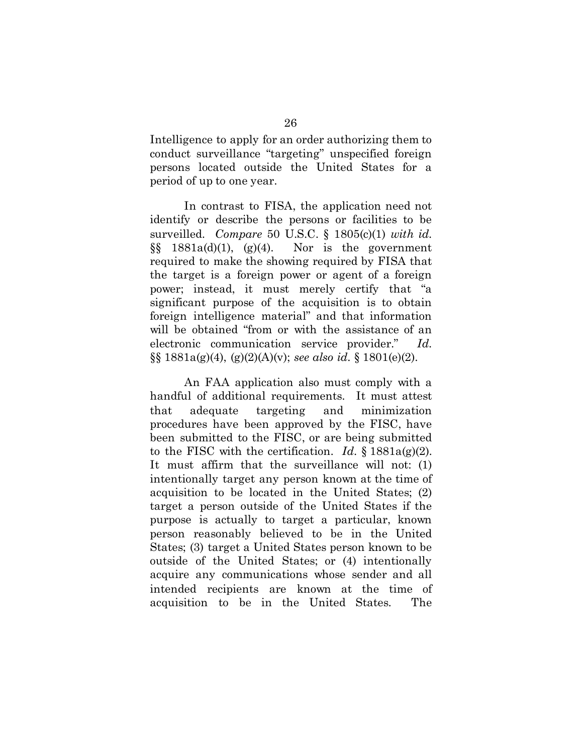Intelligence to apply for an order authorizing them to conduct surveillance "targeting" unspecified foreign persons located outside the United States for a period of up to one year.

In contrast to FISA, the application need not identify or describe the persons or facilities to be surveilled. *Compare* 50 U.S.C. § 1805(c)(1) *with id.*  $\S\$  1881a(d)(1), (g)(4). Nor is the government required to make the showing required by FISA that the target is a foreign power or agent of a foreign power; instead, it must merely certify that "a significant purpose of the acquisition is to obtain foreign intelligence material" and that information will be obtained "from or with the assistance of an electronic communication service provider." *Id.* §§ 1881a(g)(4), (g)(2)(A)(v); *see also id.* § 1801(e)(2).

An FAA application also must comply with a handful of additional requirements. It must attest that adequate targeting and minimization procedures have been approved by the FISC, have been submitted to the FISC, or are being submitted to the FISC with the certification. *Id.* § 1881a(g)(2). It must affirm that the surveillance will not: (1) intentionally target any person known at the time of acquisition to be located in the United States; (2) target a person outside of the United States if the purpose is actually to target a particular, known person reasonably believed to be in the United States; (3) target a United States person known to be outside of the United States; or (4) intentionally acquire any communications whose sender and all intended recipients are known at the time of acquisition to be in the United States. The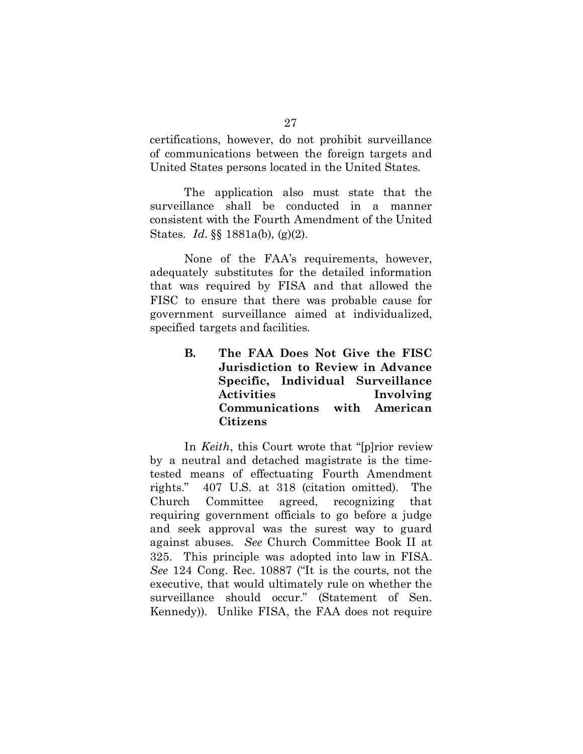certifications, however, do not prohibit surveillance of communications between the foreign targets and United States persons located in the United States.

The application also must state that the surveillance shall be conducted in a manner consistent with the Fourth Amendment of the United States. *Id.* §§ 1881a(b), (g)(2).

None of the FAA's requirements, however, adequately substitutes for the detailed information that was required by FISA and that allowed the FISC to ensure that there was probable cause for government surveillance aimed at individualized, specified targets and facilities.

> <span id="page-34-0"></span>**B. The FAA Does Not Give the FISC Jurisdiction to Review in Advance Specific, Individual Surveillance Activities Involving Communications with American Citizens**

<span id="page-34-2"></span><span id="page-34-1"></span>In *Keith*, this Court wrote that "[p]rior review by a neutral and detached magistrate is the timetested means of effectuating Fourth Amendment rights." 407 U.S. at 318 (citation omitted). The Church Committee agreed, recognizing that requiring government officials to go before a judge and seek approval was the surest way to guard against abuses. *See* Church Committee Book II at 325. This principle was adopted into law in FISA. *See* 124 Cong. Rec. 10887 ("It is the courts, not the executive, that would ultimately rule on whether the surveillance should occur." (Statement of Sen. Kennedy)). Unlike FISA, the FAA does not require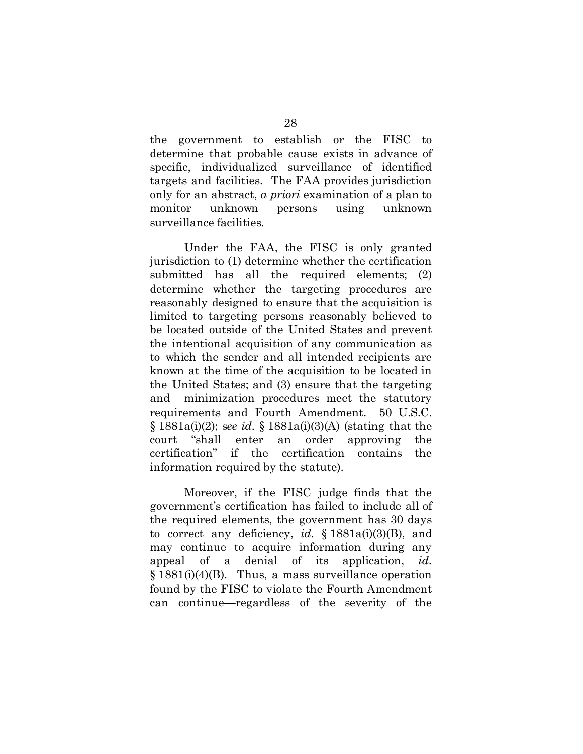the government to establish or the FISC to determine that probable cause exists in advance of specific, individualized surveillance of identified targets and facilities. The FAA provides jurisdiction only for an abstract, *a priori* examination of a plan to monitor unknown persons using unknown surveillance facilities.

Under the FAA, the FISC is only granted jurisdiction to (1) determine whether the certification submitted has all the required elements; (2) determine whether the targeting procedures are reasonably designed to ensure that the acquisition is limited to targeting persons reasonably believed to be located outside of the United States and prevent the intentional acquisition of any communication as to which the sender and all intended recipients are known at the time of the acquisition to be located in the United States; and (3) ensure that the targeting and minimization procedures meet the statutory requirements and Fourth Amendment. 50 U.S.C. § 1881a(i)(2); s*ee id.* § 1881a(i)(3)(A) (stating that the court "shall enter an order approving the certification" if the certification contains the information required by the statute).

Moreover, if the FISC judge finds that the government's certification has failed to include all of the required elements, the government has 30 days to correct any deficiency, *id.* § 1881a(i)(3)(B), and may continue to acquire information during any appeal of a denial of its application, *id.*  $§$  1881(i)(4)(B). Thus, a mass surveillance operation found by the FISC to violate the Fourth Amendment can continue—regardless of the severity of the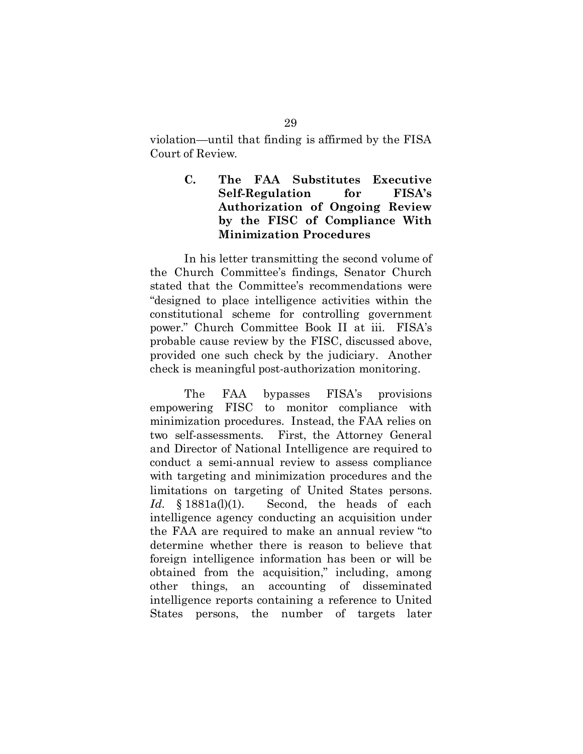violation—until that finding is affirmed by the FISA Court of Review.

### <span id="page-36-0"></span>**C. The FAA Substitutes Executive Self-Regulation for FISA's Authorization of Ongoing Review by the FISC of Compliance With Minimization Procedures**

In his letter transmitting the second volume of the Church Committee's findings, Senator Church stated that the Committee's recommendations were "designed to place intelligence activities within the constitutional scheme for controlling government power." Church Committee Book II at iii. FISA's probable cause review by the FISC, discussed above, provided one such check by the judiciary. Another check is meaningful post-authorization monitoring.

The FAA bypasses FISA's provisions empowering FISC to monitor compliance with minimization procedures. Instead, the FAA relies on two self-assessments. First, the Attorney General and Director of National Intelligence are required to conduct a semi-annual review to assess compliance with targeting and minimization procedures and the limitations on targeting of United States persons. Id. § 1881a(l)(1). Second, the heads of each intelligence agency conducting an acquisition under the FAA are required to make an annual review "to determine whether there is reason to believe that foreign intelligence information has been or will be obtained from the acquisition," including, among other things, an accounting of disseminated intelligence reports containing a reference to United States persons, the number of targets later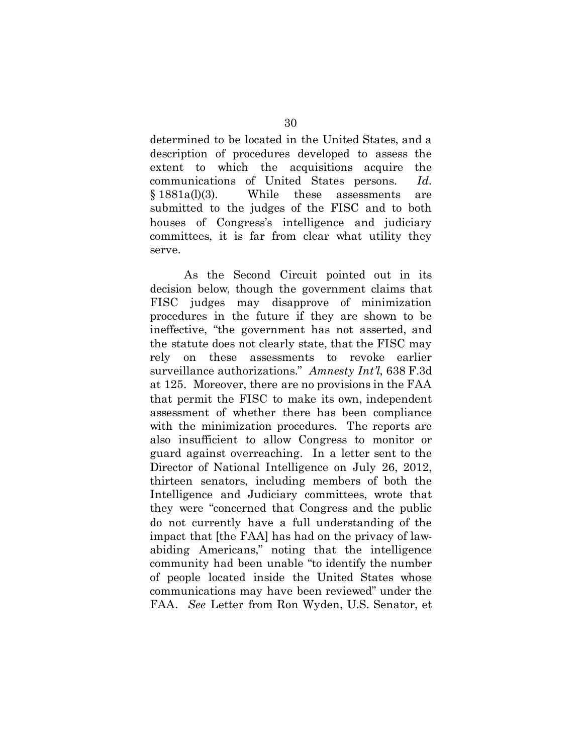determined to be located in the United States, and a description of procedures developed to assess the extent to which the acquisitions acquire the communications of United States persons. *Id.* § 1881a(l)(3). While these assessments are submitted to the judges of the FISC and to both houses of Congress's intelligence and judiciary committees, it is far from clear what utility they serve.

<span id="page-37-0"></span>As the Second Circuit pointed out in its decision below, though the government claims that FISC judges may disapprove of minimization procedures in the future if they are shown to be ineffective, "the government has not asserted, and the statute does not clearly state, that the FISC may rely on these assessments to revoke earlier surveillance authorizations." *Amnesty Int'l*, 638 F.3d at 125. Moreover, there are no provisions in the FAA that permit the FISC to make its own, independent assessment of whether there has been compliance with the minimization procedures. The reports are also insufficient to allow Congress to monitor or guard against overreaching. In a letter sent to the Director of National Intelligence on July 26, 2012, thirteen senators, including members of both the Intelligence and Judiciary committees, wrote that they were "concerned that Congress and the public do not currently have a full understanding of the impact that [the FAA] has had on the privacy of lawabiding Americans," noting that the intelligence community had been unable "to identify the number of people located inside the United States whose communications may have been reviewed" under the FAA. *See* Letter from Ron Wyden, U.S. Senator, et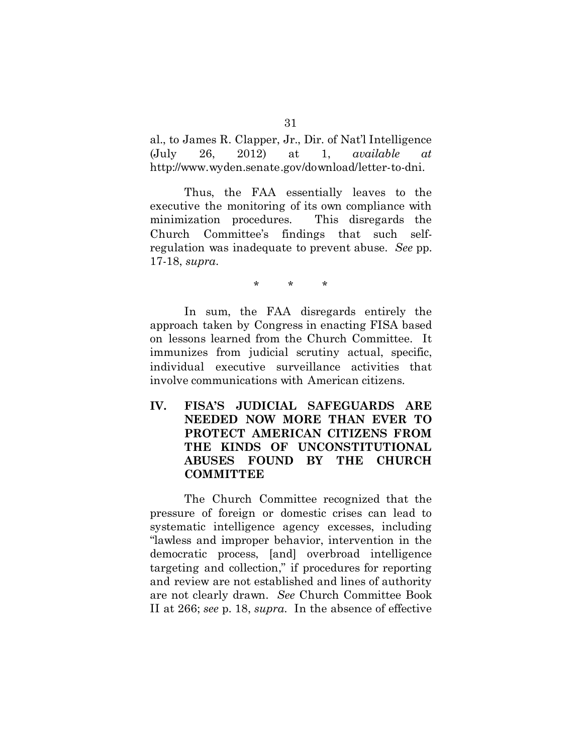al., to James R. Clapper, Jr., Dir. of Nat'l Intelligence (July 26, 2012) at 1, *available at* http://www.wyden.senate.gov/download/letter-to-dni.

Thus, the FAA essentially leaves to the executive the monitoring of its own compliance with minimization procedures. This disregards the Church Committee's findings that such selfregulation was inadequate to prevent abuse. *See* pp. 17-18, *supra*.

\* \* \*

In sum, the FAA disregards entirely the approach taken by Congress in enacting FISA based on lessons learned from the Church Committee. It immunizes from judicial scrutiny actual, specific, individual executive surveillance activities that involve communications with American citizens.

<span id="page-38-0"></span>**IV. FISA'S JUDICIAL SAFEGUARDS ARE NEEDED NOW MORE THAN EVER TO PROTECT AMERICAN CITIZENS FROM THE KINDS OF UNCONSTITUTIONAL ABUSES FOUND BY THE CHURCH COMMITTEE**

The Church Committee recognized that the pressure of foreign or domestic crises can lead to systematic intelligence agency excesses, including "lawless and improper behavior, intervention in the democratic process, [and] overbroad intelligence targeting and collection," if procedures for reporting and review are not established and lines of authority are not clearly drawn. *See* Church Committee Book II at 266; *see* p. 18, *supra*. In the absence of effective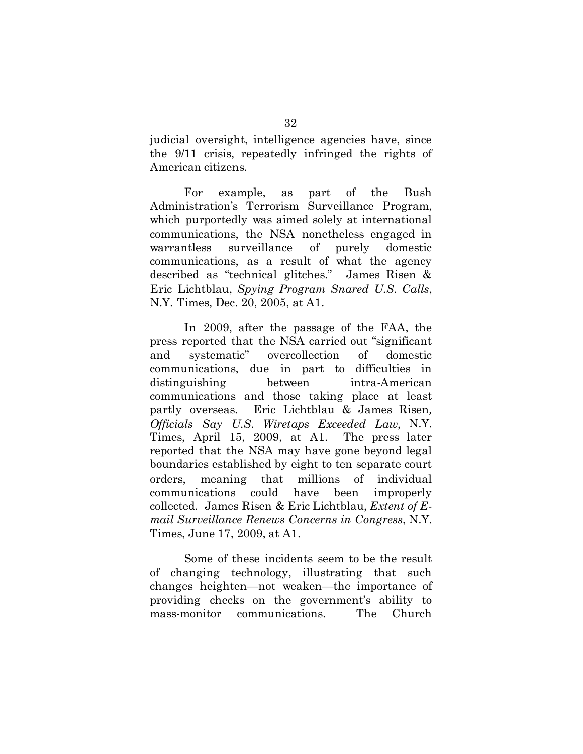judicial oversight, intelligence agencies have, since the 9/11 crisis, repeatedly infringed the rights of American citizens.

For example, as part of the Bush Administration's Terrorism Surveillance Program, which purportedly was aimed solely at international communications, the NSA nonetheless engaged in warrantless surveillance of purely domestic communications, as a result of what the agency described as "technical glitches." James Risen & Eric Lichtblau, *Spying Program Snared U.S. Calls*, N.Y. Times, Dec. 20, 2005, at A1.

In 2009, after the passage of the FAA, the press reported that the NSA carried out "significant and systematic" overcollection of domestic communications, due in part to difficulties in distinguishing between intra-American communications and those taking place at least partly overseas. Eric Lichtblau & James Risen*, Officials Say U.S. Wiretaps Exceeded Law*, N.Y. Times, April 15, 2009, at A1. The press later reported that the NSA may have gone beyond legal boundaries established by eight to ten separate court orders, meaning that millions of individual communications could have been improperly collected. James Risen & Eric Lichtblau, *Extent of Email Surveillance Renews Concerns in Congress*, N.Y. Times, June 17, 2009, at A1.

Some of these incidents seem to be the result of changing technology, illustrating that such changes heighten—not weaken—the importance of providing checks on the government's ability to mass-monitor communications. The Church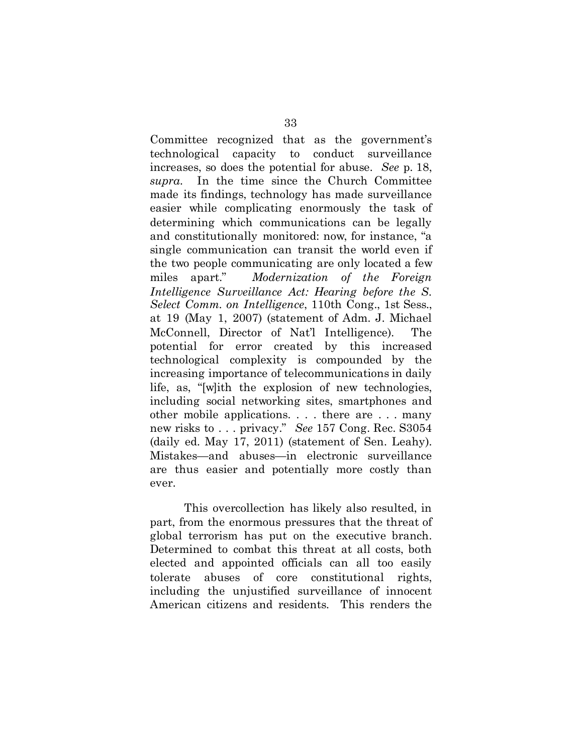Committee recognized that as the government's technological capacity to conduct surveillance increases, so does the potential for abuse. *See* p. 18, *supra*. In the time since the Church Committee made its findings, technology has made surveillance easier while complicating enormously the task of determining which communications can be legally and constitutionally monitored: now, for instance, "a single communication can transit the world even if the two people communicating are only located a few miles apart." *Modernization of the Foreign Intelligence Surveillance Act: Hearing before the S. Select Comm. on Intelligence*, 110th Cong., 1st Sess., at 19 (May 1, 2007) (statement of Adm. J. Michael McConnell, Director of Nat'l Intelligence). The potential for error created by this increased technological complexity is compounded by the increasing importance of telecommunications in daily life, as, "[w]ith the explosion of new technologies, including social networking sites, smartphones and other mobile applications. . . . there are . . . many new risks to . . . privacy." *See* 157 Cong. Rec. S3054 (daily ed. May 17, 2011) (statement of Sen. Leahy). Mistakes—and abuses—in electronic surveillance are thus easier and potentially more costly than ever.

This overcollection has likely also resulted, in part, from the enormous pressures that the threat of global terrorism has put on the executive branch. Determined to combat this threat at all costs, both elected and appointed officials can all too easily tolerate abuses of core constitutional rights, including the unjustified surveillance of innocent American citizens and residents. This renders the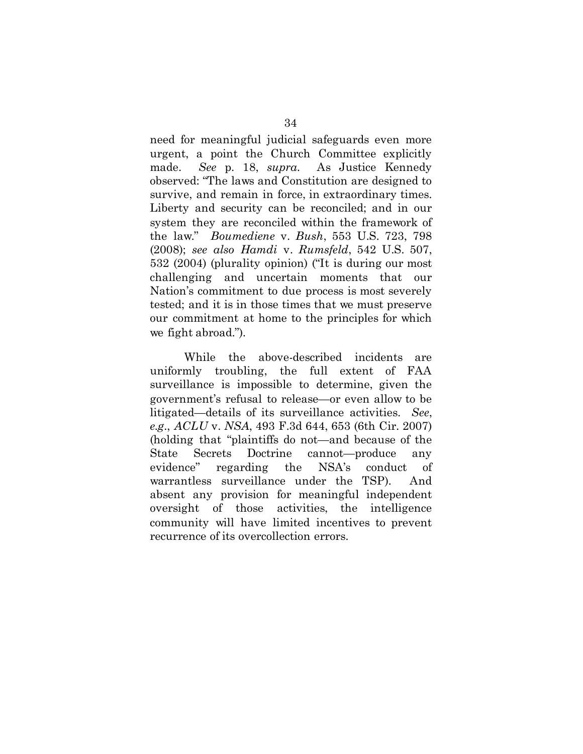need for meaningful judicial safeguards even more urgent, a point the Church Committee explicitly made. *See* p. 18, *supra*. As Justice Kennedy observed: "The laws and Constitution are designed to survive, and remain in force, in extraordinary times. Liberty and security can be reconciled; and in our system they are reconciled within the framework of the law." *Boumediene* v. *Bush*, 553 U.S. 723, 798 (2008); *see also Hamdi* v. *Rumsfeld*, 542 U.S. 507, 532 (2004) (plurality opinion) ("It is during our most challenging and uncertain moments that our Nation's commitment to due process is most severely tested; and it is in those times that we must preserve our commitment at home to the principles for which we fight abroad.").

While the above-described incidents are uniformly troubling, the full extent of FAA surveillance is impossible to determine, given the government's refusal to release—or even allow to be litigated—details of its surveillance activities. *See*, *e.g.*, *ACLU* v. *NSA*, 493 F.3d 644, 653 (6th Cir. 2007) (holding that "plaintiffs do not—and because of the State Secrets Doctrine cannot—produce any evidence" regarding the NSA's conduct of warrantless surveillance under the TSP). And absent any provision for meaningful independent oversight of those activities, the intelligence community will have limited incentives to prevent recurrence of its overcollection errors.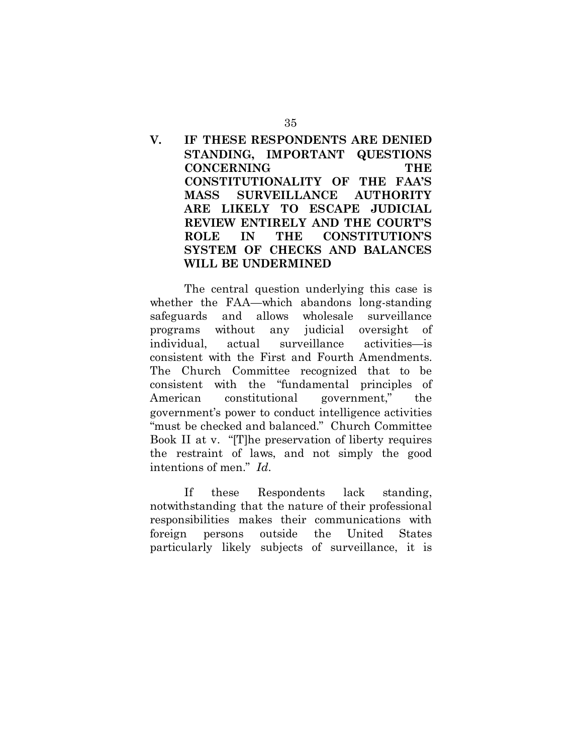## <span id="page-42-0"></span>**V. IF THESE RESPONDENTS ARE DENIED STANDING, IMPORTANT QUESTIONS CONCERNING THE CONSTITUTIONALITY OF THE FAA'S MASS SURVEILLANCE AUTHORITY ARE LIKELY TO ESCAPE JUDICIAL REVIEW ENTIRELY AND THE COURT'S ROLE IN THE CONSTITUTION'S SYSTEM OF CHECKS AND BALANCES WILL BE UNDERMINED**

The central question underlying this case is whether the FAA—which abandons long-standing safeguards and allows wholesale surveillance programs without any judicial oversight of individual, actual surveillance activities—is consistent with the First and Fourth Amendments. The Church Committee recognized that to be consistent with the "fundamental principles of American constitutional government," the government's power to conduct intelligence activities "must be checked and balanced." Church Committee Book II at v. "[T]he preservation of liberty requires the restraint of laws, and not simply the good intentions of men." *Id.* 

If these Respondents lack standing, notwithstanding that the nature of their professional responsibilities makes their communications with foreign persons outside the United States particularly likely subjects of surveillance, it is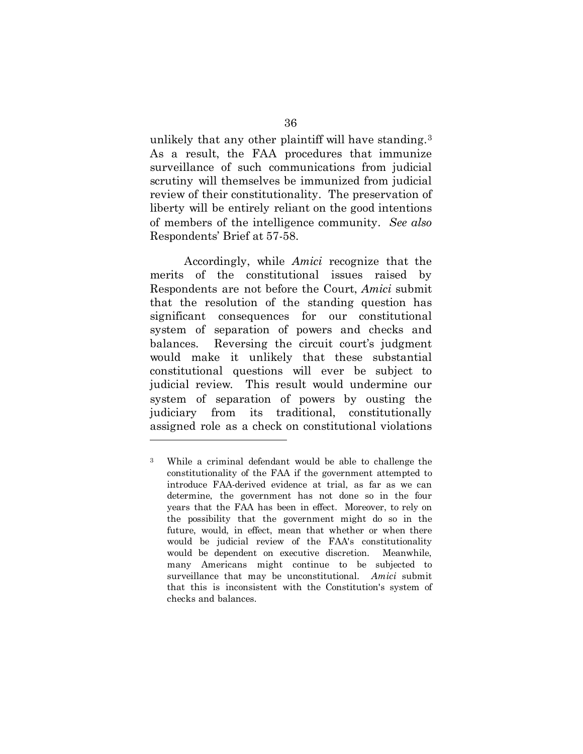unlikely that any other plaintiff will have standing.[3](#page-43-0)  As a result, the FAA procedures that immunize surveillance of such communications from judicial scrutiny will themselves be immunized from judicial review of their constitutionality. The preservation of liberty will be entirely reliant on the good intentions of members of the intelligence community. *See also* Respondents' Brief at 57-58.

Accordingly, while *Amici* recognize that the merits of the constitutional issues raised by Respondents are not before the Court, *Amici* submit that the resolution of the standing question has significant consequences for our constitutional system of separation of powers and checks and balances. Reversing the circuit court's judgment would make it unlikely that these substantial constitutional questions will ever be subject to judicial review. This result would undermine our system of separation of powers by ousting the judiciary from its traditional, constitutionally assigned role as a check on constitutional violations

1

<span id="page-43-0"></span><sup>3</sup> While a criminal defendant would be able to challenge the constitutionality of the FAA if the government attempted to introduce FAA-derived evidence at trial, as far as we can determine, the government has not done so in the four years that the FAA has been in effect. Moreover, to rely on the possibility that the government might do so in the future, would, in effect, mean that whether or when there would be judicial review of the FAA's constitutionality would be dependent on executive discretion. Meanwhile, many Americans might continue to be subjected to surveillance that may be unconstitutional. *Amici* submit that this is inconsistent with the Constitution's system of checks and balances.